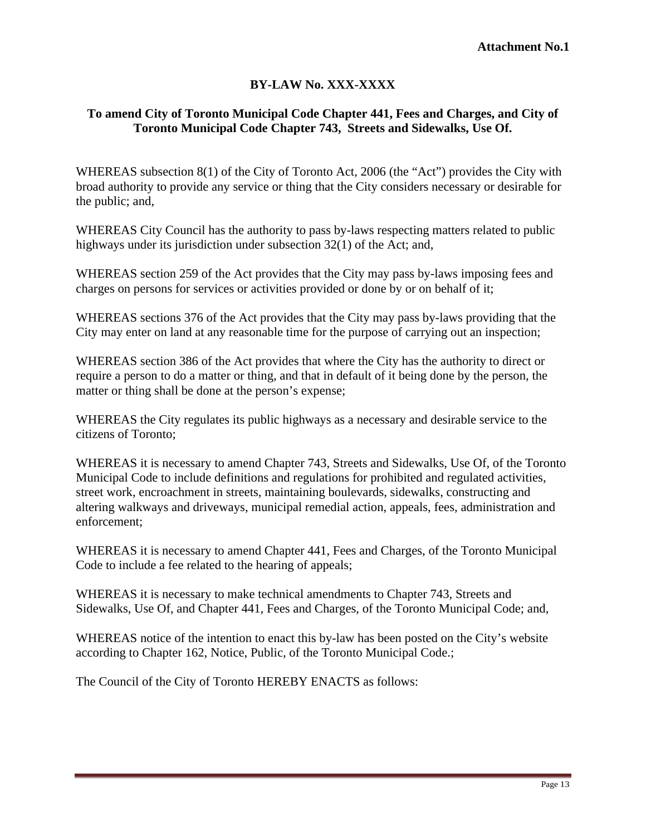## **BY-LAW No. XXX-XXXX**

## **To amend City of Toronto Municipal Code Chapter 441, Fees and Charges, and City of Toronto Municipal Code Chapter 743, Streets and Sidewalks, Use Of.**

WHEREAS subsection 8(1) of the City of Toronto Act, 2006 (the "Act") provides the City with broad authority to provide any service or thing that the City considers necessary or desirable for the public; and,

WHEREAS City Council has the authority to pass by-laws respecting matters related to public highways under its jurisdiction under subsection 32(1) of the Act; and,

WHEREAS section 259 of the Act provides that the City may pass by-laws imposing fees and charges on persons for services or activities provided or done by or on behalf of it;

WHEREAS sections 376 of the Act provides that the City may pass by-laws providing that the City may enter on land at any reasonable time for the purpose of carrying out an inspection;

WHEREAS section 386 of the Act provides that where the City has the authority to direct or require a person to do a matter or thing, and that in default of it being done by the person, the matter or thing shall be done at the person's expense;

WHEREAS the City regulates its public highways as a necessary and desirable service to the citizens of Toronto;

WHEREAS it is necessary to amend Chapter 743, Streets and Sidewalks, Use Of, of the Toronto Municipal Code to include definitions and regulations for prohibited and regulated activities, street work, encroachment in streets, maintaining boulevards, sidewalks, constructing and altering walkways and driveways, municipal remedial action, appeals, fees, administration and enforcement;

WHEREAS it is necessary to amend Chapter 441, Fees and Charges, of the Toronto Municipal Code to include a fee related to the hearing of appeals;

WHEREAS it is necessary to make technical amendments to Chapter 743, Streets and Sidewalks, Use Of, and Chapter 441, Fees and Charges, of the Toronto Municipal Code; and,

WHEREAS notice of the intention to enact this by-law has been posted on the City's website according to Chapter 162, Notice, Public, of the Toronto Municipal Code.;

The Council of the City of Toronto HEREBY ENACTS as follows: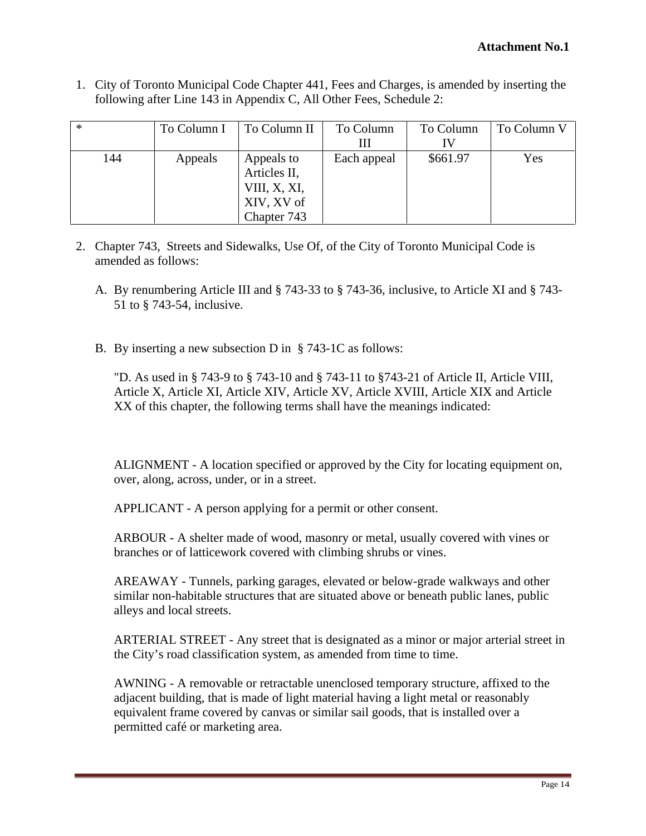1. City of Toronto Municipal Code Chapter 441, Fees and Charges, is amended by inserting the following after Line 143 in Appendix C, All Other Fees, Schedule 2:

|     | To Column I   To Column II   To Column |                      |             |              | To Column To Column V |
|-----|----------------------------------------|----------------------|-------------|--------------|-----------------------|
|     |                                        |                      | <b>TTT</b>  | $\mathbf{H}$ |                       |
| 144 | Appeals                                | Appeals to           | Each appeal | \$661.97     | Yes                   |
|     |                                        | Articles II,         |             |              |                       |
|     |                                        | $\vert$ VIII, X, XI, |             |              |                       |
|     |                                        | XIV, XV of           |             |              |                       |
|     |                                        | Chapter 743          |             |              |                       |

- 2. Chapter 743, Streets and Sidewalks, Use Of, of the City of Toronto Municipal Code is amended as follows:
	- A. By renumbering Article III and § 743-33 to § 743-36, inclusive, to Article XI and § 743- 51 to § 743-54, inclusive.
	- B. By inserting a new subsection D in § 743-1C as follows:

"D. As used in § 743-9 to § 743-10 and § 743-11 to §743-21 of Article II, Article VIII, Article X, Article XI, Article XIV, Article XV, Article XVIII, Article XIX and Article XX of this chapter, the following terms shall have the meanings indicated:

ALIGNMENT - A location specified or approved by the City for locating equipment on, over, along, across, under, or in a street.

APPLICANT - A person applying for a permit or other consent.

ARBOUR - A shelter made of wood, masonry or metal, usually covered with vines or branches or of latticework covered with climbing shrubs or vines.

AREAWAY - Tunnels, parking garages, elevated or below-grade walkways and other similar non-habitable structures that are situated above or beneath public lanes, public alleys and local streets.

ARTERIAL STREET - Any street that is designated as a minor or major arterial street in the City's road classification system, as amended from time to time.

AWNING - A removable or retractable unenclosed temporary structure, affixed to the adjacent building, that is made of light material having a light metal or reasonably equivalent frame covered by canvas or similar sail goods, that is installed over a permitted café or marketing area.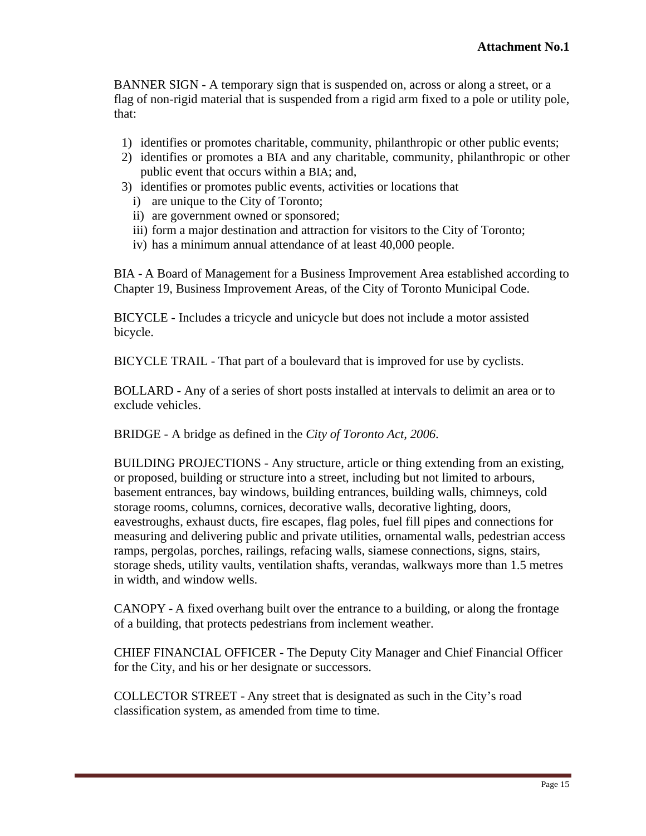BANNER SIGN - A temporary sign that is suspended on, across or along a street, or a flag of non-rigid material that is suspended from a rigid arm fixed to a pole or utility pole, that:

- 1) identifies or promotes charitable, community, philanthropic or other public events;
- 2) identifies or promotes a BIA and any charitable, community, philanthropic or other public event that occurs within a BIA; and,
- 3) identifies or promotes public events, activities or locations that
	- i) are unique to the City of Toronto;
	- ii) are government owned or sponsored;
	- iii) form a major destination and attraction for visitors to the City of Toronto;
	- iv) has a minimum annual attendance of at least 40,000 people.

BIA - A Board of Management for a Business Improvement Area established according to Chapter 19, Business Improvement Areas, of the City of Toronto Municipal Code.

BICYCLE - Includes a tricycle and unicycle but does not include a motor assisted bicycle.

BICYCLE TRAIL - That part of a boulevard that is improved for use by cyclists.

BOLLARD - Any of a series of short posts installed at intervals to delimit an area or to exclude vehicles.

BRIDGE - A bridge as defined in the *City of Toronto Act, 2006*.

BUILDING PROJECTIONS - Any structure, article or thing extending from an existing, or proposed, building or structure into a street, including but not limited to arbours, basement entrances, bay windows, building entrances, building walls, chimneys, cold storage rooms, columns, cornices, decorative walls, decorative lighting, doors, eavestroughs, exhaust ducts, fire escapes, flag poles, fuel fill pipes and connections for measuring and delivering public and private utilities, ornamental walls, pedestrian access ramps, pergolas, porches, railings, refacing walls, siamese connections, signs, stairs, storage sheds, utility vaults, ventilation shafts, verandas, walkways more than 1.5 metres in width, and window wells.

CANOPY - A fixed overhang built over the entrance to a building, or along the frontage of a building, that protects pedestrians from inclement weather.

CHIEF FINANCIAL OFFICER - The Deputy City Manager and Chief Financial Officer for the City, and his or her designate or successors.

COLLECTOR STREET - Any street that is designated as such in the City's road classification system, as amended from time to time.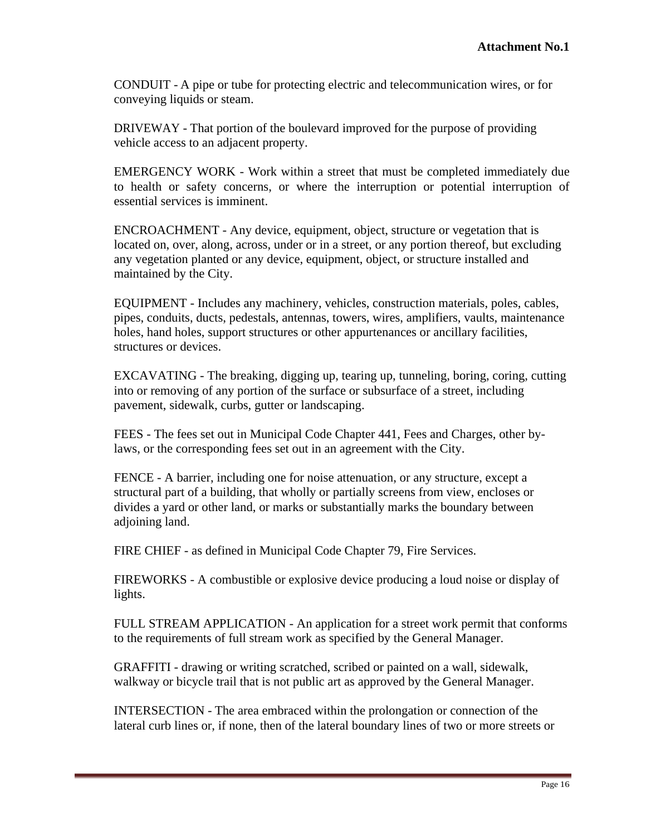CONDUIT - A pipe or tube for protecting electric and telecommunication wires, or for conveying liquids or steam.

DRIVEWAY - That portion of the boulevard improved for the purpose of providing vehicle access to an adjacent property.

EMERGENCY WORK - Work within a street that must be completed immediately due to health or safety concerns, or where the interruption or potential interruption of essential services is imminent.

ENCROACHMENT - Any device, equipment, object, structure or vegetation that is located on, over, along, across, under or in a street, or any portion thereof, but excluding any vegetation planted or any device, equipment, object, or structure installed and maintained by the City.

EQUIPMENT - Includes any machinery, vehicles, construction materials, poles, cables, pipes, conduits, ducts, pedestals, antennas, towers, wires, amplifiers, vaults, maintenance holes, hand holes, support structures or other appurtenances or ancillary facilities, structures or devices.

EXCAVATING - The breaking, digging up, tearing up, tunneling, boring, coring, cutting into or removing of any portion of the surface or subsurface of a street, including pavement, sidewalk, curbs, gutter or landscaping.

FEES - The fees set out in Municipal Code Chapter 441, Fees and Charges, other bylaws, or the corresponding fees set out in an agreement with the City.

FENCE - A barrier, including one for noise attenuation, or any structure, except a structural part of a building, that wholly or partially screens from view, encloses or divides a yard or other land, or marks or substantially marks the boundary between adjoining land.

FIRE CHIEF - as defined in Municipal Code Chapter 79, Fire Services.

FIREWORKS - A combustible or explosive device producing a loud noise or display of lights.

FULL STREAM APPLICATION - An application for a street work permit that conforms to the requirements of full stream work as specified by the General Manager.

GRAFFITI - drawing or writing scratched, scribed or painted on a wall, sidewalk, walkway or bicycle trail that is not public art as approved by the General Manager.

INTERSECTION - The area embraced within the prolongation or connection of the lateral curb lines or, if none, then of the lateral boundary lines of two or more streets or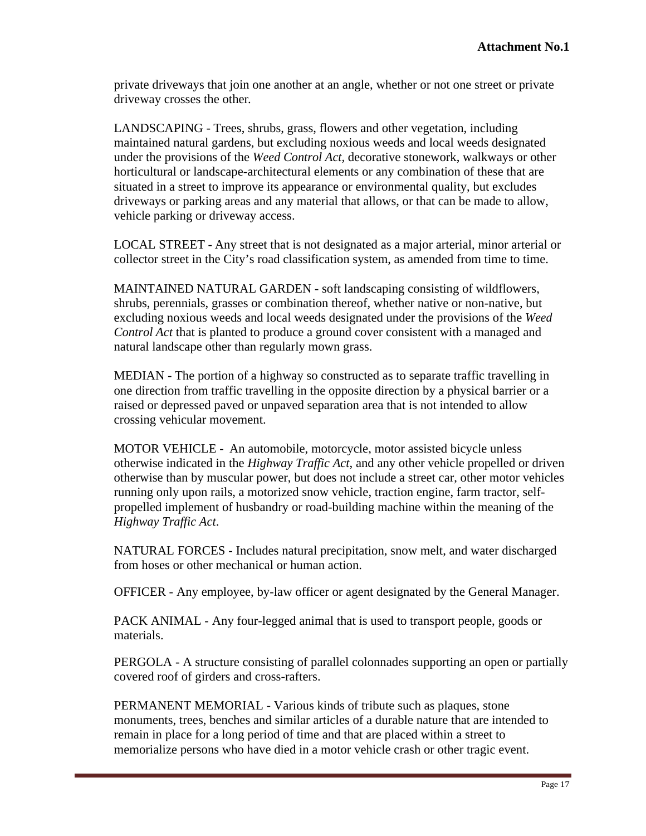private driveways that join one another at an angle, whether or not one street or private driveway crosses the other.

LANDSCAPING - Trees, shrubs, grass, flowers and other vegetation, including maintained natural gardens, but excluding noxious weeds and local weeds designated under the provisions of the *Weed Control Act,* decorative stonework, walkways or other horticultural or landscape-architectural elements or any combination of these that are situated in a street to improve its appearance or environmental quality, but excludes driveways or parking areas and any material that allows, or that can be made to allow, vehicle parking or driveway access.

LOCAL STREET - Any street that is not designated as a major arterial, minor arterial or collector street in the City's road classification system, as amended from time to time.

MAINTAINED NATURAL GARDEN - soft landscaping consisting of wildflowers, shrubs, perennials, grasses or combination thereof, whether native or non-native, but excluding noxious weeds and local weeds designated under the provisions of the *Weed Control Act* that is planted to produce a ground cover consistent with a managed and natural landscape other than regularly mown grass.

MEDIAN - The portion of a highway so constructed as to separate traffic travelling in one direction from traffic travelling in the opposite direction by a physical barrier or a raised or depressed paved or unpaved separation area that is not intended to allow crossing vehicular movement.

MOTOR VEHICLE - An automobile, motorcycle, motor assisted bicycle unless otherwise indicated in the *Highway Traffic Act*, and any other vehicle propelled or driven otherwise than by muscular power, but does not include a street car, other motor vehicles running only upon rails, a motorized snow vehicle, traction engine, farm tractor, self propelled implement of husbandry or road-building machine within the meaning of the *Highway Traffic Act*.

NATURAL FORCES - Includes natural precipitation, snow melt, and water discharged from hoses or other mechanical or human action.

OFFICER - Any employee, by-law officer or agent designated by the General Manager.

PACK ANIMAL - Any four-legged animal that is used to transport people, goods or materials.

PERGOLA - A structure consisting of parallel colonnades supporting an open or partially covered roof of girders and cross-rafters.

PERMANENT MEMORIAL - Various kinds of tribute such as plaques, stone monuments, trees, benches and similar articles of a durable nature that are intended to remain in place for a long period of time and that are placed within a street to memorialize persons who have died in a motor vehicle crash or other tragic event.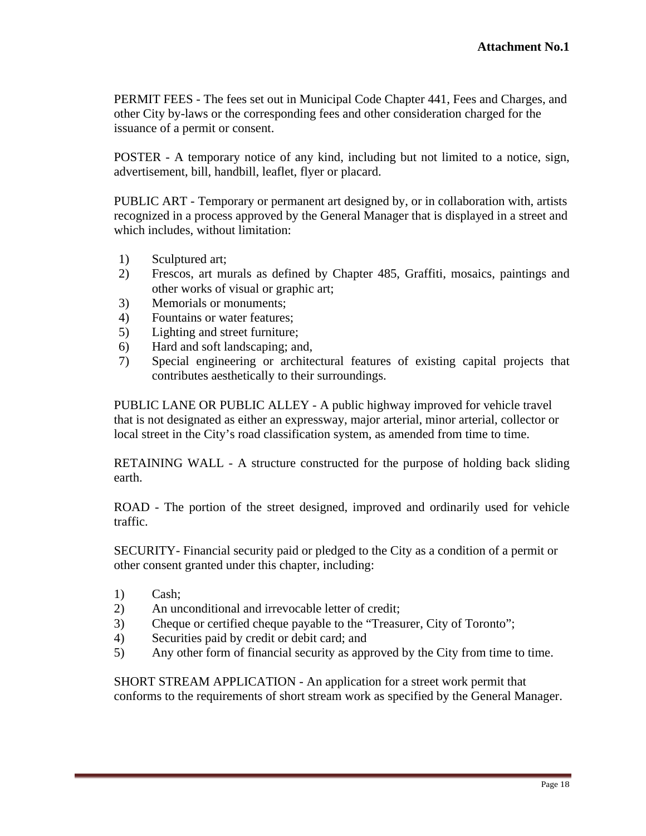PERMIT FEES - The fees set out in Municipal Code Chapter 441, Fees and Charges, and other City by-laws or the corresponding fees and other consideration charged for the issuance of a permit or consent.

POSTER - A temporary notice of any kind, including but not limited to a notice, sign, advertisement, bill, handbill, leaflet, flyer or placard.

PUBLIC ART - Temporary or permanent art designed by, or in collaboration with, artists recognized in a process approved by the General Manager that is displayed in a street and which includes, without limitation:

- 1) Sculptured art;
- 2) Frescos, art murals as defined by Chapter 485, Graffiti, mosaics, paintings and other works of visual or graphic art;
- 3) Memorials or monuments;
- 4) Fountains or water features;
- 5) Lighting and street furniture;
- 6) Hard and soft landscaping; and,
- 7) Special engineering or architectural features of existing capital projects that contributes aesthetically to their surroundings.

PUBLIC LANE OR PUBLIC ALLEY - A public highway improved for vehicle travel that is not designated as either an expressway, major arterial, minor arterial, collector or local street in the City's road classification system, as amended from time to time.

RETAINING WALL - A structure constructed for the purpose of holding back sliding earth.

ROAD - The portion of the street designed, improved and ordinarily used for vehicle traffic.

SECURITY- Financial security paid or pledged to the City as a condition of a permit or other consent granted under this chapter, including:

- 1) Cash;
- 2) An unconditional and irrevocable letter of credit;
- 3) Cheque or certified cheque payable to the "Treasurer, City of Toronto";
- 4) Securities paid by credit or debit card; and
- 5) Any other form of financial security as approved by the City from time to time.

SHORT STREAM APPLICATION - An application for a street work permit that conforms to the requirements of short stream work as specified by the General Manager.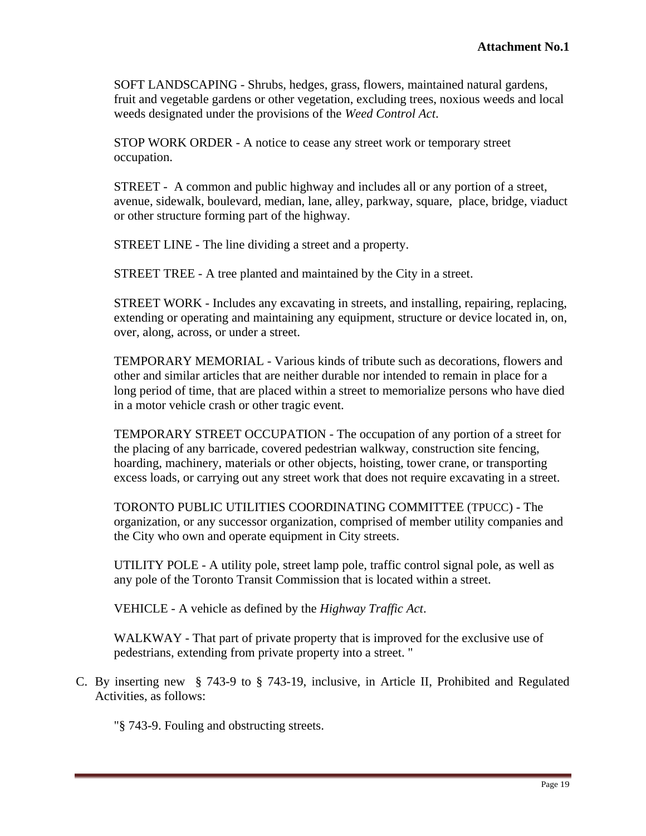SOFT LANDSCAPING - Shrubs, hedges, grass, flowers, maintained natural gardens, fruit and vegetable gardens or other vegetation, excluding trees, noxious weeds and local weeds designated under the provisions of the *Weed Control Act*.

STOP WORK ORDER - A notice to cease any street work or temporary street occupation.

STREET - A common and public highway and includes all or any portion of a street, avenue, sidewalk, boulevard, median, lane, alley, parkway, square, place, bridge, viaduct or other structure forming part of the highway.

STREET LINE - The line dividing a street and a property.

STREET TREE - A tree planted and maintained by the City in a street.

STREET WORK - Includes any excavating in streets, and installing, repairing, replacing, extending or operating and maintaining any equipment, structure or device located in, on, over, along, across, or under a street.

TEMPORARY MEMORIAL - Various kinds of tribute such as decorations, flowers and other and similar articles that are neither durable nor intended to remain in place for a long period of time, that are placed within a street to memorialize persons who have died in a motor vehicle crash or other tragic event.

TEMPORARY STREET OCCUPATION - The occupation of any portion of a street for the placing of any barricade, covered pedestrian walkway, construction site fencing, hoarding, machinery, materials or other objects, hoisting, tower crane, or transporting excess loads, or carrying out any street work that does not require excavating in a street.

TORONTO PUBLIC UTILITIES COORDINATING COMMITTEE (TPUCC) - The organization, or any successor organization, comprised of member utility companies and the City who own and operate equipment in City streets.

UTILITY POLE - A utility pole, street lamp pole, traffic control signal pole, as well as any pole of the Toronto Transit Commission that is located within a street.

VEHICLE - A vehicle as defined by the *Highway Traffic Act*.

WALKWAY - That part of private property that is improved for the exclusive use of pedestrians, extending from private property into a street. "

C. By inserting new § 743-9 to § 743-19, inclusive, in Article II, Prohibited and Regulated Activities, as follows:

"§ 743-9. Fouling and obstructing streets.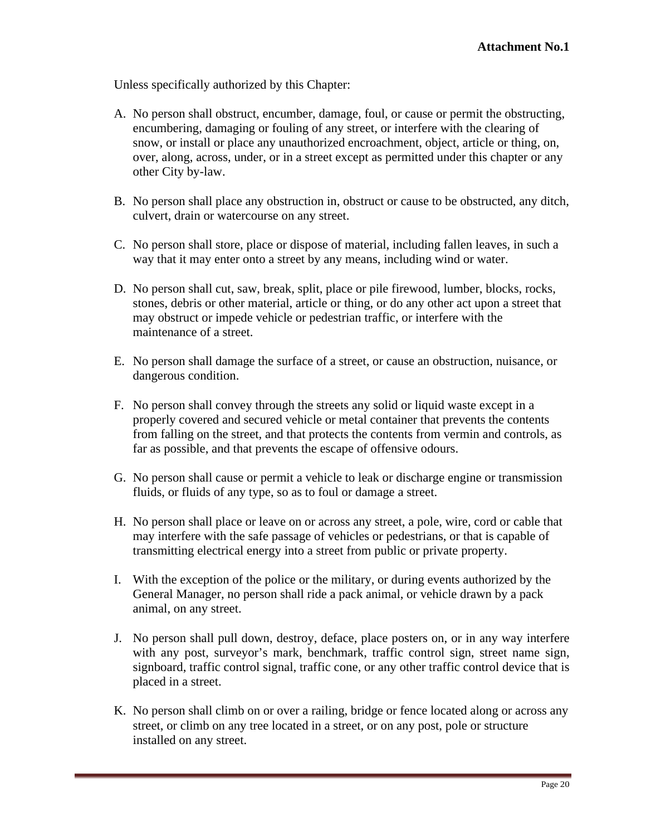Unless specifically authorized by this Chapter:

- A. No person shall obstruct, encumber, damage, foul, or cause or permit the obstructing, encumbering, damaging or fouling of any street, or interfere with the clearing of snow, or install or place any unauthorized encroachment, object, article or thing, on, over, along, across, under, or in a street except as permitted under this chapter or any other City by-law.
- B. No person shall place any obstruction in, obstruct or cause to be obstructed, any ditch, culvert, drain or watercourse on any street.
- C. No person shall store, place or dispose of material, including fallen leaves, in such a way that it may enter onto a street by any means, including wind or water.
- D. No person shall cut, saw, break, split, place or pile firewood, lumber, blocks, rocks, stones, debris or other material, article or thing, or do any other act upon a street that may obstruct or impede vehicle or pedestrian traffic, or interfere with the maintenance of a street.
- E. No person shall damage the surface of a street, or cause an obstruction, nuisance, or dangerous condition.
- F. No person shall convey through the streets any solid or liquid waste except in a properly covered and secured vehicle or metal container that prevents the contents from falling on the street, and that protects the contents from vermin and controls, as far as possible, and that prevents the escape of offensive odours.
- G. No person shall cause or permit a vehicle to leak or discharge engine or transmission fluids, or fluids of any type, so as to foul or damage a street.
- H. No person shall place or leave on or across any street, a pole, wire, cord or cable that may interfere with the safe passage of vehicles or pedestrians, or that is capable of transmitting electrical energy into a street from public or private property.
- I. With the exception of the police or the military, or during events authorized by the General Manager, no person shall ride a pack animal, or vehicle drawn by a pack animal, on any street.
- J. No person shall pull down, destroy, deface, place posters on, or in any way interfere with any post, surveyor's mark, benchmark, traffic control sign, street name sign, signboard, traffic control signal, traffic cone, or any other traffic control device that is placed in a street.
- K. No person shall climb on or over a railing, bridge or fence located along or across any street, or climb on any tree located in a street, or on any post, pole or structure installed on any street.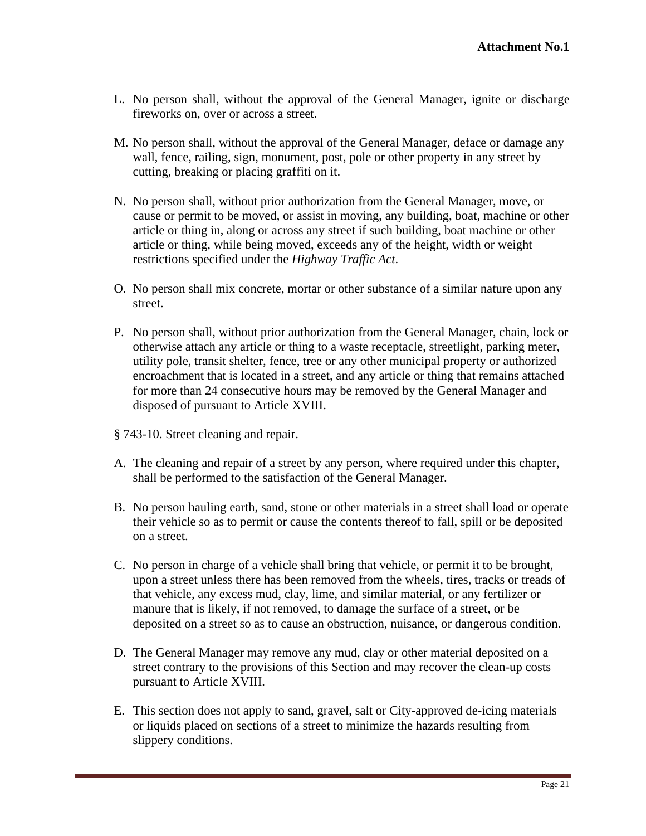- L. No person shall, without the approval of the General Manager, ignite or discharge fireworks on, over or across a street.
- M. No person shall, without the approval of the General Manager, deface or damage any wall, fence, railing, sign, monument, post, pole or other property in any street by cutting, breaking or placing graffiti on it.
- N. No person shall, without prior authorization from the General Manager, move, or cause or permit to be moved, or assist in moving, any building, boat, machine or other article or thing in, along or across any street if such building, boat machine or other article or thing, while being moved, exceeds any of the height, width or weight
- restrictions specified under the *Highway Traffic Act*. O. No person shall mix concrete, mortar or other substance of a similar nature upon any street.
- P. No person shall, without prior authorization from the General Manager, chain, lock or otherwise attach any article or thing to a waste receptacle, streetlight, parking meter, utility pole, transit shelter, fence, tree or any other municipal property or authorized encroachment that is located in a street, and any article or thing that remains attached for more than 24 consecutive hours may be removed by the General Manager and disposed of pursuant to Article XVIII.
- § 743-10. Street cleaning and repair.
- A. The cleaning and repair of a street by any person, where required under this chapter, shall be performed to the satisfaction of the General Manager.
- B. No person hauling earth, sand, stone or other materials in a street shall load or operate their vehicle so as to permit or cause the contents thereof to fall, spill or be deposited on a street.
- C. No person in charge of a vehicle shall bring that vehicle, or permit it to be brought, upon a street unless there has been removed from the wheels, tires, tracks or treads of that vehicle, any excess mud, clay, lime, and similar material, or any fertilizer or manure that is likely, if not removed, to damage the surface of a street, or be deposited on a street so as to cause an obstruction, nuisance, or dangerous condition.
- D. The General Manager may remove any mud, clay or other material deposited on a street contrary to the provisions of this Section and may recover the clean-up costs pursuant to Article XVIII.
- E. This section does not apply to sand, gravel, salt or City-approved de-icing materials or liquids placed on sections of a street to minimize the hazards resulting from slippery conditions.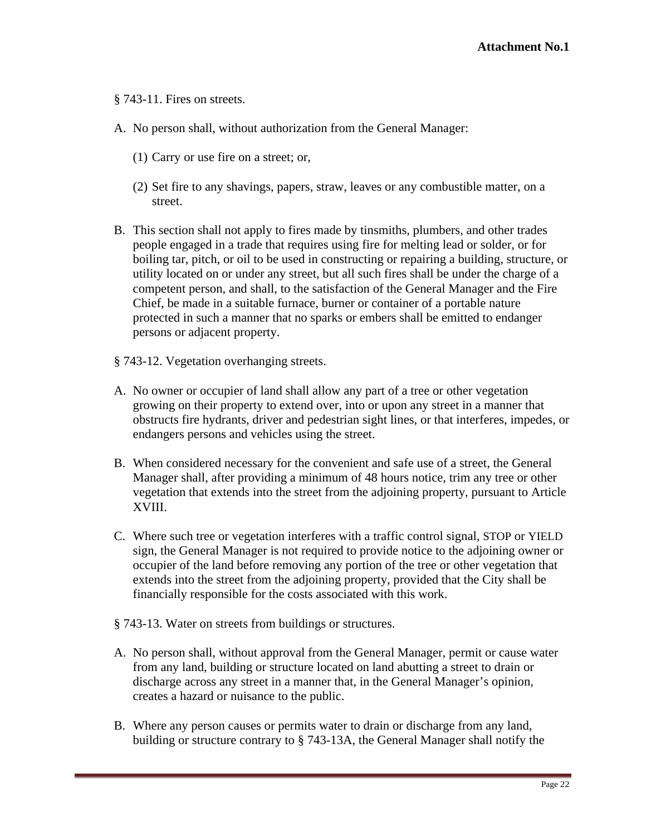§ 743-11. Fires on streets.

- A. No person shall, without authorization from the General Manager:
	- (1) Carry or use fire on a street; or,
	- (2) Set fire to any shavings, papers, straw, leaves or any combustible matter, on a street.
- B. This section shall not apply to fires made by tinsmiths, plumbers, and other trades people engaged in a trade that requires using fire for melting lead or solder, or for boiling tar, pitch, or oil to be used in constructing or repairing a building, structure, or utility located on or under any street, but all such fires shall be under the charge of a competent person, and shall, to the satisfaction of the General Manager and the Fire Chief, be made in a suitable furnace, burner or container of a portable nature protected in such a manner that no sparks or embers shall be emitted to endanger persons or adjacent property.
- § 743-12. Vegetation overhanging streets.
- A. No owner or occupier of land shall allow any part of a tree or other vegetation growing on their property to extend over, into or upon any street in a manner that obstructs fire hydrants, driver and pedestrian sight lines, or that interferes, impedes, or endangers persons and vehicles using the street.
- B. When considered necessary for the convenient and safe use of a street, the General Manager shall, after providing a minimum of 48 hours notice, trim any tree or other vegetation that extends into the street from the adjoining property, pursuant to Article XVIII.
- C. Where such tree or vegetation interferes with a traffic control signal, STOP or YIELD sign, the General Manager is not required to provide notice to the adjoining owner or occupier of the land before removing any portion of the tree or other vegetation that extends into the street from the adjoining property, provided that the City shall be financially responsible for the costs associated with this work.
- § 743-13. Water on streets from buildings or structures.
- A. No person shall, without approval from the General Manager, permit or cause water from any land, building or structure located on land abutting a street to drain or discharge across any street in a manner that, in the General Manager's opinion, creates a hazard or nuisance to the public.
- B. Where any person causes or permits water to drain or discharge from any land, building or structure contrary to § 743-13A, the General Manager shall notify the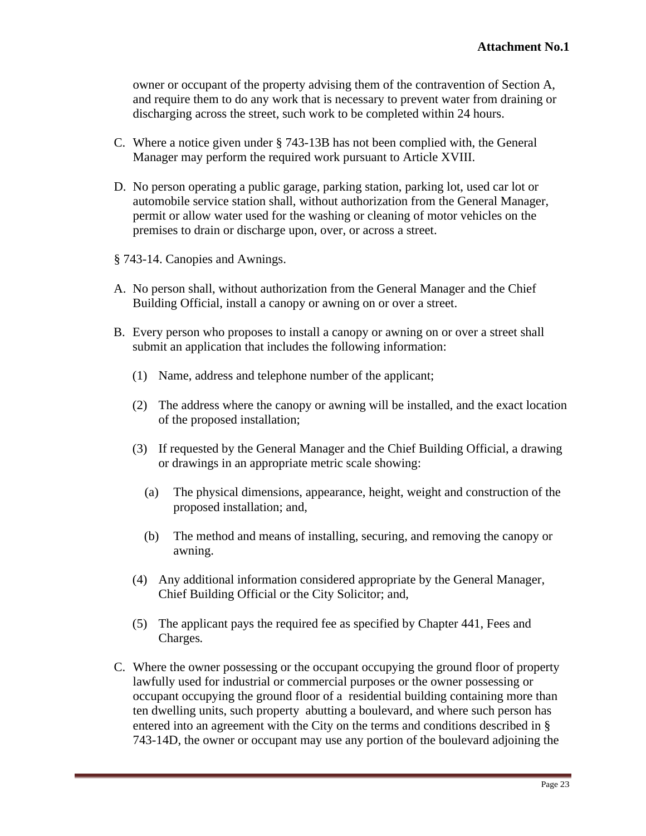owner or occupant of the property advising them of the contravention of Section A, and require them to do any work that is necessary to prevent water from draining or discharging across the street, such work to be completed within 24 hours.

- C. Where a notice given under § 743-13B has not been complied with, the General Manager may perform the required work pursuant to Article XVIII.
- D. No person operating a public garage, parking station, parking lot, used car lot or automobile service station shall, without authorization from the General Manager, permit or allow water used for the washing or cleaning of motor vehicles on the premises to drain or discharge upon, over, or across a street.
- § 743-14. Canopies and Awnings.
- A. No person shall, without authorization from the General Manager and the Chief Building Official, install a canopy or awning on or over a street.
- B. Every person who proposes to install a canopy or awning on or over a street shall submit an application that includes the following information:
	- (1) Name, address and telephone number of the applicant;
	- (2) The address where the canopy or awning will be installed, and the exact location of the proposed installation;
	- (3) If requested by the General Manager and the Chief Building Official, a drawing or drawings in an appropriate metric scale showing:
		- (a) The physical dimensions, appearance, height, weight and construction of the proposed installation; and,
		- (b) The method and means of installing, securing, and removing the canopy or awning.
	- (4) Any additional information considered appropriate by the General Manager, Chief Building Official or the City Solicitor; and,
	- (5) The applicant pays the required fee as specified by Chapter 441, Fees and Charges*.*
- C. Where the owner possessing or the occupant occupying the ground floor of property lawfully used for industrial or commercial purposes or the owner possessing or occupant occupying the ground floor of a residential building containing more than ten dwelling units, such property abutting a boulevard, and where such person has entered into an agreement with the City on the terms and conditions described in § 743-14D, the owner or occupant may use any portion of the boulevard adjoining the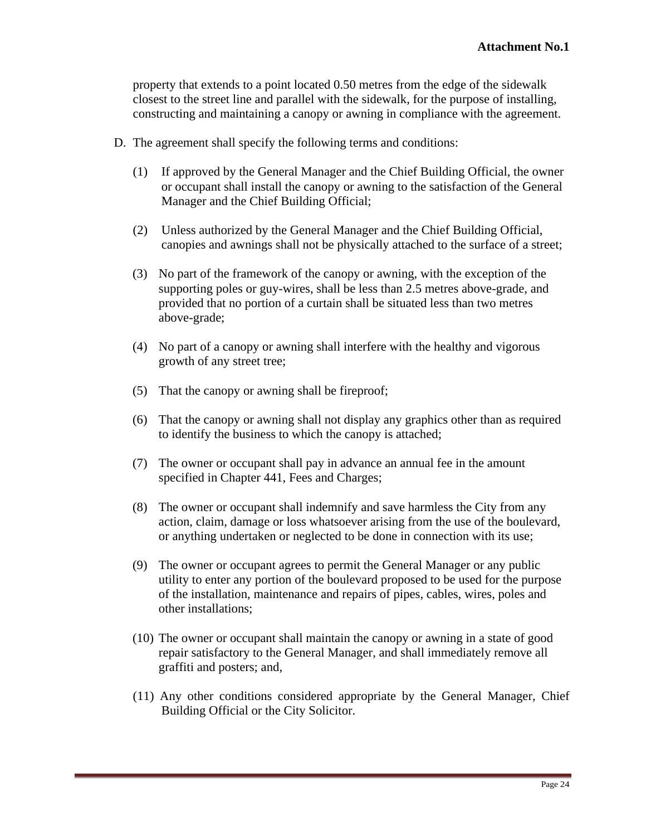property that extends to a point located 0.50 metres from the edge of the sidewalk closest to the street line and parallel with the sidewalk, for the purpose of installing, constructing and maintaining a canopy or awning in compliance with the agreement.

- D. The agreement shall specify the following terms and conditions:
	- (1) If approved by the General Manager and the Chief Building Official, the owner or occupant shall install the canopy or awning to the satisfaction of the General Manager and the Chief Building Official;
	- (2) Unless authorized by the General Manager and the Chief Building Official, canopies and awnings shall not be physically attached to the surface of a street;
	- (3) No part of the framework of the canopy or awning, with the exception of the supporting poles or guy-wires, shall be less than 2.5 metres above-grade, and provided that no portion of a curtain shall be situated less than two metres above-grade;
	- (4) No part of a canopy or awning shall interfere with the healthy and vigorous growth of any street tree;
	- (5) That the canopy or awning shall be fireproof;
	- (6) That the canopy or awning shall not display any graphics other than as required to identify the business to which the canopy is attached;
	- (7) The owner or occupant shall pay in advance an annual fee in the amount specified in Chapter 441, Fees and Charges;
	- (8) The owner or occupant shall indemnify and save harmless the City from any action, claim, damage or loss whatsoever arising from the use of the boulevard, or anything undertaken or neglected to be done in connection with its use;
	- (9) The owner or occupant agrees to permit the General Manager or any public utility to enter any portion of the boulevard proposed to be used for the purpose of the installation, maintenance and repairs of pipes, cables, wires, poles and other installations;
	- (10) The owner or occupant shall maintain the canopy or awning in a state of good repair satisfactory to the General Manager, and shall immediately remove all graffiti and posters; and,
	- (11) Any other conditions considered appropriate by the General Manager, Chief Building Official or the City Solicitor.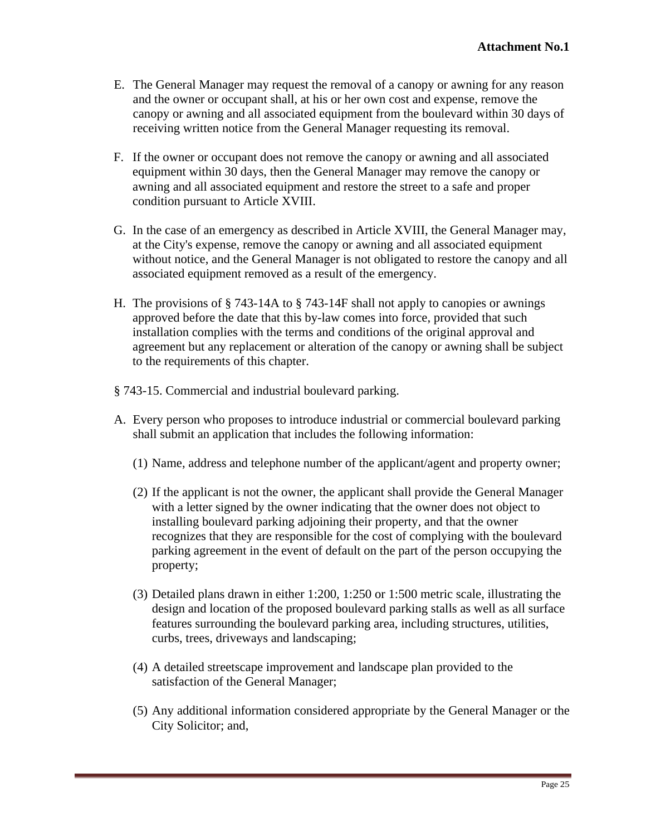- E. The General Manager may request the removal of a canopy or awning for any reason and the owner or occupant shall, at his or her own cost and expense, remove the canopy or awning and all associated equipment from the boulevard within 30 days of receiving written notice from the General Manager requesting its removal.
- F. If the owner or occupant does not remove the canopy or awning and all associated equipment within 30 days, then the General Manager may remove the canopy or awning and all associated equipment and restore the street to a safe and proper condition pursuant to Article XVIII.
- G. In the case of an emergency as described in Article XVIII, the General Manager may, at the City's expense, remove the canopy or awning and all associated equipment without notice, and the General Manager is not obligated to restore the canopy and all associated equipment removed as a result of the emergency.
- H. The provisions of § 743-14A to § 743-14F shall not apply to canopies or awnings approved before the date that this by-law comes into force, provided that such installation complies with the terms and conditions of the original approval and agreement but any replacement or alteration of the canopy or awning shall be subject to the requirements of this chapter.
- § 743-15. Commercial and industrial boulevard parking.
- A. Every person who proposes to introduce industrial or commercial boulevard parking shall submit an application that includes the following information:
	- (1) Name, address and telephone number of the applicant/agent and property owner;
	- (2) If the applicant is not the owner, the applicant shall provide the General Manager with a letter signed by the owner indicating that the owner does not object to installing boulevard parking adjoining their property, and that the owner recognizes that they are responsible for the cost of complying with the boulevard parking agreement in the event of default on the part of the person occupying the property;
	- (3) Detailed plans drawn in either 1:200, 1:250 or 1:500 metric scale, illustrating the design and location of the proposed boulevard parking stalls as well as all surface features surrounding the boulevard parking area, including structures, utilities, curbs, trees, driveways and landscaping;
	- (4) A detailed streetscape improvement and landscape plan provided to the satisfaction of the General Manager;
	- (5) Any additional information considered appropriate by the General Manager or the City Solicitor; and,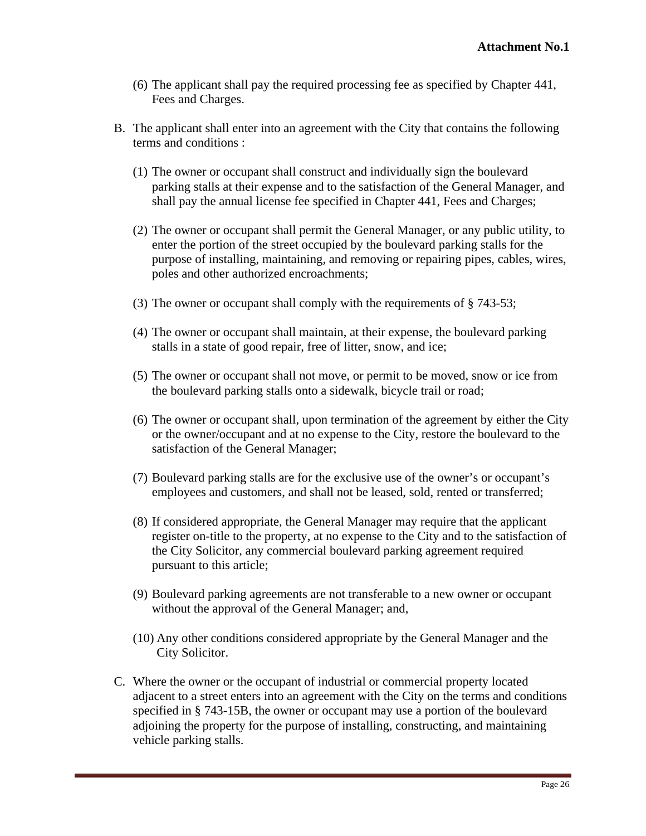- (6) The applicant shall pay the required processing fee as specified by Chapter 441, Fees and Charges.
- B. The applicant shall enter into an agreement with the City that contains the following terms and conditions :
	- (1) The owner or occupant shall construct and individually sign the boulevard parking stalls at their expense and to the satisfaction of the General Manager, and shall pay the annual license fee specified in Chapter 441, Fees and Charges;
	- (2) The owner or occupant shall permit the General Manager, or any public utility, to enter the portion of the street occupied by the boulevard parking stalls for the purpose of installing, maintaining, and removing or repairing pipes, cables, wires, poles and other authorized encroachments;
	- (3) The owner or occupant shall comply with the requirements of § 743-53;
	- (4) The owner or occupant shall maintain, at their expense, the boulevard parking stalls in a state of good repair, free of litter, snow, and ice;
	- (5) The owner or occupant shall not move, or permit to be moved, snow or ice from the boulevard parking stalls onto a sidewalk, bicycle trail or road;
	- (6) The owner or occupant shall, upon termination of the agreement by either the City or the owner/occupant and at no expense to the City, restore the boulevard to the satisfaction of the General Manager;
	- (7) Boulevard parking stalls are for the exclusive use of the owner's or occupant's employees and customers, and shall not be leased, sold, rented or transferred;
	- (8) If considered appropriate, the General Manager may require that the applicant register on-title to the property, at no expense to the City and to the satisfaction of the City Solicitor, any commercial boulevard parking agreement required pursuant to this article;
	- (9) Boulevard parking agreements are not transferable to a new owner or occupant without the approval of the General Manager; and,
	- (10) Any other conditions considered appropriate by the General Manager and the City Solicitor.
- C. Where the owner or the occupant of industrial or commercial property located adjacent to a street enters into an agreement with the City on the terms and conditions specified in § 743-15B, the owner or occupant may use a portion of the boulevard adjoining the property for the purpose of installing, constructing, and maintaining vehicle parking stalls.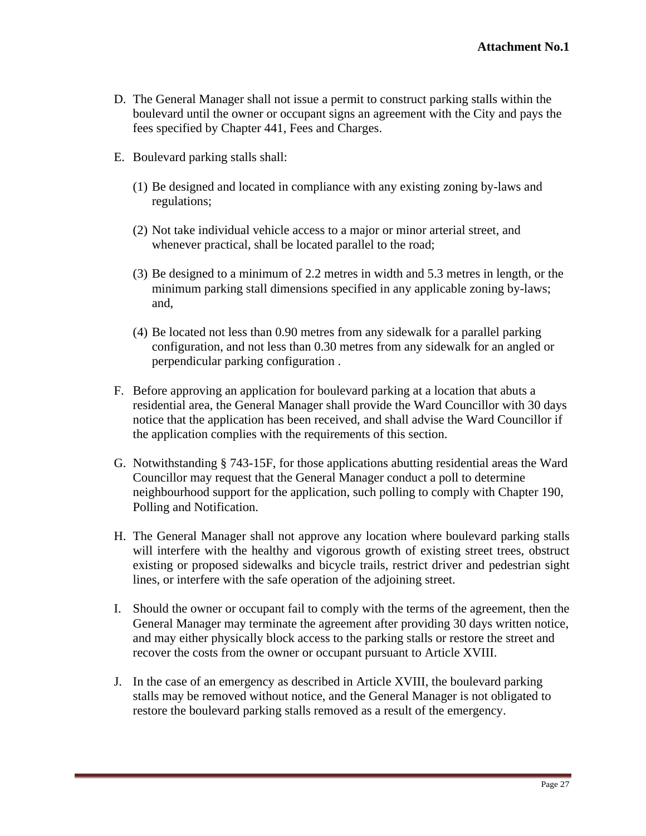- D. The General Manager shall not issue a permit to construct parking stalls within the boulevard until the owner or occupant signs an agreement with the City and pays the fees specified by Chapter 441, Fees and Charges.
- E. Boulevard parking stalls shall:
	- (1) Be designed and located in compliance with any existing zoning by-laws and regulations;
	- (2) Not take individual vehicle access to a major or minor arterial street, and whenever practical, shall be located parallel to the road;
	- (3) Be designed to a minimum of 2.2 metres in width and 5.3 metres in length, or the minimum parking stall dimensions specified in any applicable zoning by-laws; and,
	- (4) Be located not less than 0.90 metres from any sidewalk for a parallel parking configuration, and not less than 0.30 metres from any sidewalk for an angled or perpendicular parking configuration .
- F. Before approving an application for boulevard parking at a location that abuts a residential area, the General Manager shall provide the Ward Councillor with 30 days notice that the application has been received, and shall advise the Ward Councillor if the application complies with the requirements of this section.
- G. Notwithstanding § 743-15F, for those applications abutting residential areas the Ward Councillor may request that the General Manager conduct a poll to determine neighbourhood support for the application, such polling to comply with Chapter 190, Polling and Notification.
- H. The General Manager shall not approve any location where boulevard parking stalls will interfere with the healthy and vigorous growth of existing street trees, obstruct existing or proposed sidewalks and bicycle trails, restrict driver and pedestrian sight lines, or interfere with the safe operation of the adjoining street.
- I. Should the owner or occupant fail to comply with the terms of the agreement, then the General Manager may terminate the agreement after providing 30 days written notice, and may either physically block access to the parking stalls or restore the street and recover the costs from the owner or occupant pursuant to Article XVIII.
- J. In the case of an emergency as described in Article XVIII, the boulevard parking stalls may be removed without notice, and the General Manager is not obligated to restore the boulevard parking stalls removed as a result of the emergency.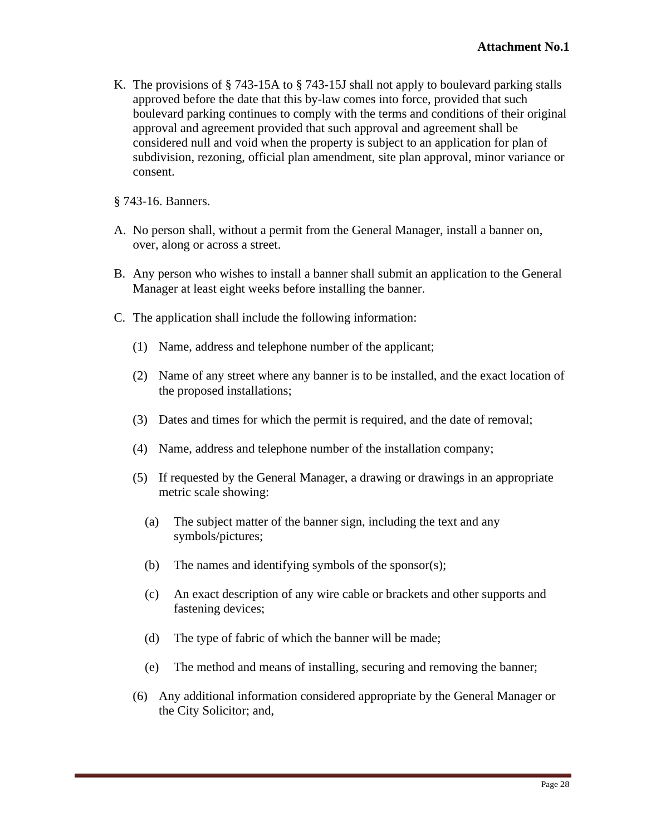K. The provisions of § 743-15A to § 743-15J shall not apply to boulevard parking stalls approved before the date that this by-law comes into force, provided that such boulevard parking continues to comply with the terms and conditions of their original approval and agreement provided that such approval and agreement shall be considered null and void when the property is subject to an application for plan of subdivision, rezoning, official plan amendment, site plan approval, minor variance or consent.

§ 743-16. Banners.

- A. No person shall, without a permit from the General Manager, install a banner on, over, along or across a street.
- B. Any person who wishes to install a banner shall submit an application to the General Manager at least eight weeks before installing the banner.
- C. The application shall include the following information:
	- (1) Name, address and telephone number of the applicant;
	- (2) Name of any street where any banner is to be installed, and the exact location of the proposed installations;
	- (3) Dates and times for which the permit is required, and the date of removal;
	- (4) Name, address and telephone number of the installation company;
	- (5) If requested by the General Manager, a drawing or drawings in an appropriate metric scale showing:
		- (a) The subject matter of the banner sign, including the text and any symbols/pictures;
		- (b) The names and identifying symbols of the sponsor(s);
		- (c) An exact description of any wire cable or brackets and other supports and fastening devices;
		- (d) The type of fabric of which the banner will be made;
		- (e) The method and means of installing, securing and removing the banner;
	- (6) Any additional information considered appropriate by the General Manager or the City Solicitor; and,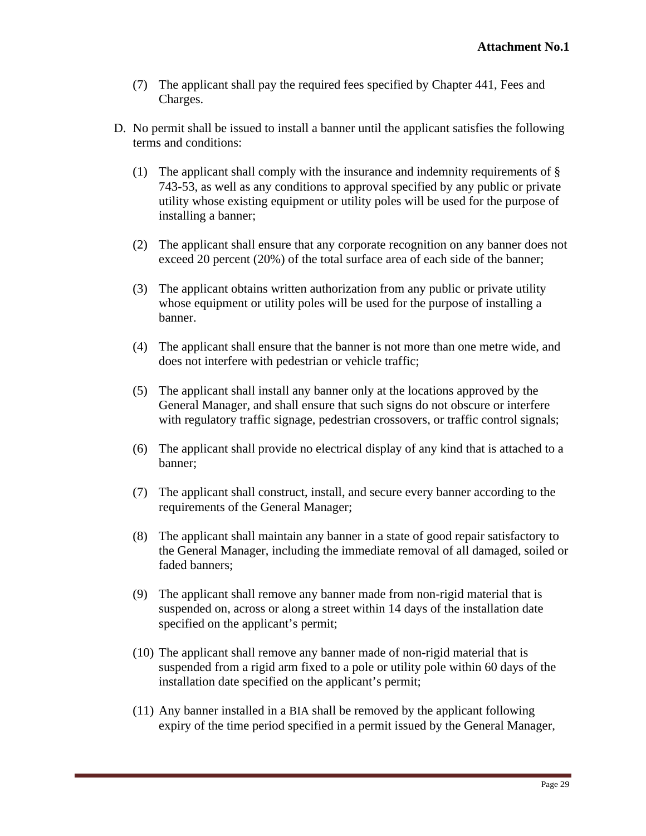- (7) The applicant shall pay the required fees specified by Chapter 441, Fees and Charges. The contract of the contract of the contract of the contract of the contract of the contract of the contract of the contract of the contract of the contract of the contract of the contract of the contract of the c
- D. No permit shall be issued to install a banner until the applicant satisfies the following terms and conditions:
	- (1) The applicant shall comply with the insurance and indemnity requirements of § 743-53, as well as any conditions to approval specified by any public or private utility whose existing equipment or utility poles will be used for the purpose of installing a banner;
	- (2) The applicant shall ensure that any corporate recognition on any banner does not exceed 20 percent (20%) of the total surface area of each side of the banner;
	- (3) The applicant obtains written authorization from any public or private utility whose equipment or utility poles will be used for the purpose of installing a banner.
	- (4) The applicant shall ensure that the banner is not more than one metre wide, and does not interfere with pedestrian or vehicle traffic;
	- (5) The applicant shall install any banner only at the locations approved by the General Manager, and shall ensure that such signs do not obscure or interfere with regulatory traffic signage, pedestrian crossovers, or traffic control signals;
	- (6) The applicant shall provide no electrical display of any kind that is attached to a banner;
	- (7) The applicant shall construct, install, and secure every banner according to the requirements of the General Manager;
	- (8) The applicant shall maintain any banner in a state of good repair satisfactory to the General Manager, including the immediate removal of all damaged, soiled or faded banners; which is a set of the set of the set of the set of the set of the set of the set of the set of the set of the set of the set of the set of the set of the set of the set of the set of the set of the set of th
	- (9) The applicant shall remove any banner made from non-rigid material that is suspended on, across or along a street within 14 days of the installation date specified on the applicant's permit;
	- (10) The applicant shall remove any banner made of non-rigid material that is suspended from a rigid arm fixed to a pole or utility pole within 60 days of the installation date specified on the applicant's permit;
	- (11) Any banner installed in a BIA shall be removed by the applicant following expiry of the time period specified in a permit issued by the General Manager,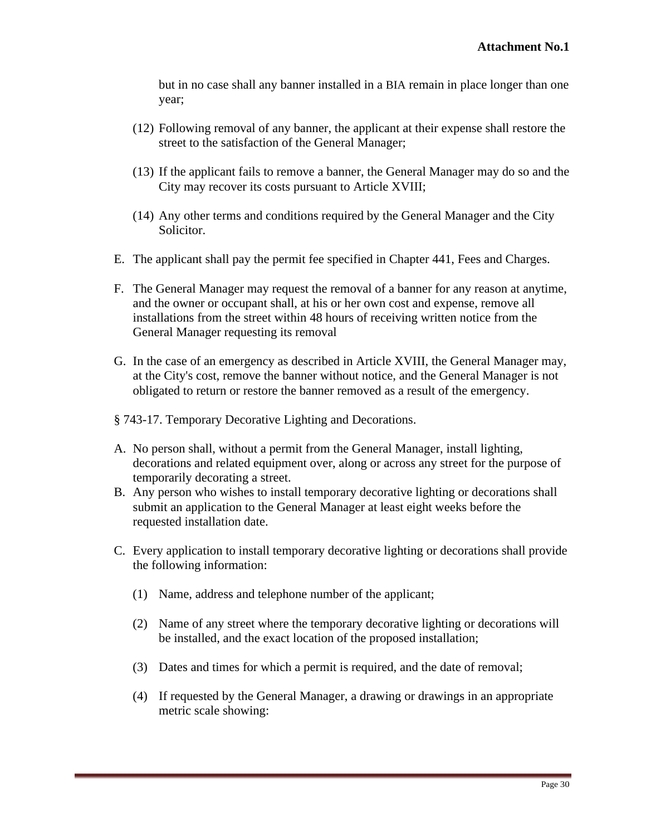but in no case shall any banner installed in a BIA remain in place longer than one year;

- (12) Following removal of any banner, the applicant at their expense shall restore the street to the satisfaction of the General Manager;
- (13) If the applicant fails to remove a banner, the General Manager may do so and the City may recover its costs pursuant to Article XVIII;
- (14) Any other terms and conditions required by the General Manager and the City Solicitor.
- E. The applicant shall pay the permit fee specified in Chapter 441, Fees and Charges.
- F. The General Manager may request the removal of a banner for any reason at anytime, and the owner or occupant shall, at his or her own cost and expense, remove all installations from the street within 48 hours of receiving written notice from the General Manager requesting its removal
- G. In the case of an emergency as described in Article XVIII, the General Manager may, at the City's cost, remove the banner without notice, and the General Manager is not obligated to return or restore the banner removed as a result of the emergency.
- § 743-17. Temporary Decorative Lighting and Decorations.
- A. No person shall, without a permit from the General Manager, install lighting, decorations and related equipment over, along or across any street for the purpose of temporarily decorating a street.
- B. Any person who wishes to install temporary decorative lighting or decorations shall submit an application to the General Manager at least eight weeks before the requested installation date.
- C. Every application to install temporary decorative lighting or decorations shall provide the following information:
	- (1) Name, address and telephone number of the applicant;
	- (2) Name of any street where the temporary decorative lighting or decorations will be installed, and the exact location of the proposed installation;
	- (3) Dates and times for which a permit is required, and the date of removal;
	- (4) If requested by the General Manager, a drawing or drawings in an appropriate metric scale showing: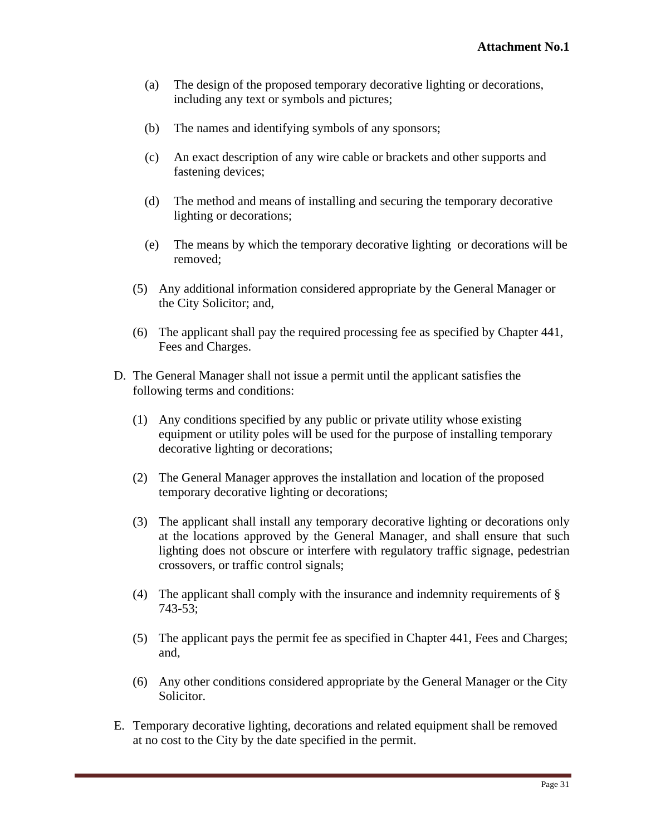- (a) The design of the proposed temporary decorative lighting or decorations, including any text or symbols and pictures;
- (b) The names and identifying symbols of any sponsors;
- (c) An exact description of any wire cable or brackets and other supports and fastening devices; the contract of the contract of the contract of the contract of the contract of the contract of the contract of the contract of the contract of the contract of the contract of the contract of the contrac
- (d) The method and means of installing and securing the temporary decorative lighting or decorations;
- (e) The means by which the temporary decorative lighting or decorations will be removed;
- (5) Any additional information considered appropriate by the General Manager or the City Solicitor; and,
- (6) The applicant shall pay the required processing fee as specified by Chapter 441, Fees and Charges.
- D. The General Manager shall not issue a permit until the applicant satisfies the following terms and conditions:
	- (1) Any conditions specified by any public or private utility whose existing equipment or utility poles will be used for the purpose of installing temporary decorative lighting or decorations;
	- (2) The General Manager approves the installation and location of the proposed temporary decorative lighting or decorations;
	- (3) The applicant shall install any temporary decorative lighting or decorations only at the locations approved by the General Manager, and shall ensure that such lighting does not obscure or interfere with regulatory traffic signage, pedestrian crossovers, or traffic control signals;
	- (4) The applicant shall comply with the insurance and indemnity requirements of § 743-53;
	- (5) The applicant pays the permit fee as specified in Chapter 441, Fees and Charges; and,
	- (6) Any other conditions considered appropriate by the General Manager or the City Solicitor.
- E. Temporary decorative lighting, decorations and related equipment shall be removed at no cost to the City by the date specified in the permit.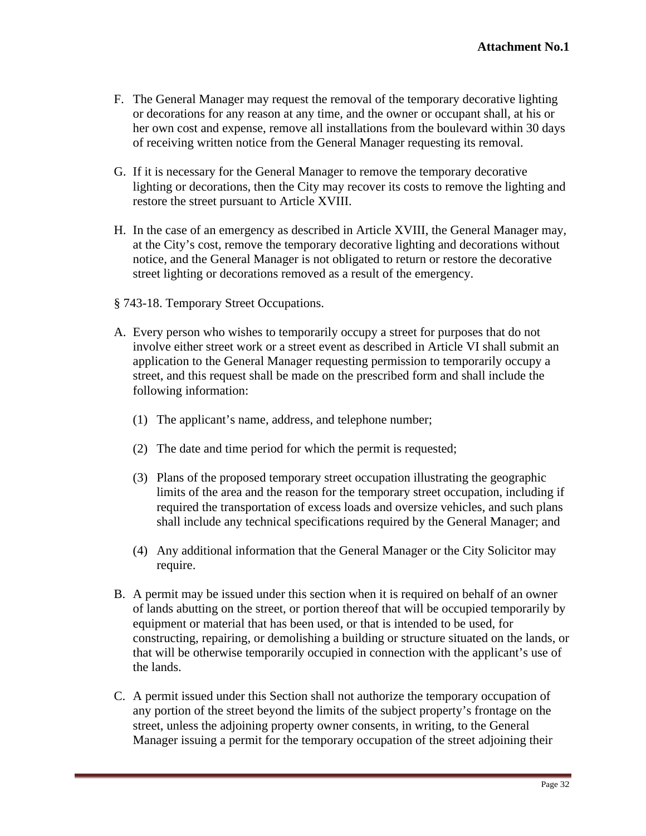- F. The General Manager may request the removal of the temporary decorative lighting or decorations for any reason at any time, and the owner or occupant shall, at his or her own cost and expense, remove all installations from the boulevard within 30 days of receiving written notice from the General Manager requesting its removal.
- G. If it is necessary for the General Manager to remove the temporary decorative lighting or decorations, then the City may recover its costs to remove the lighting and restore the street pursuant to Article XVIII.
- H. In the case of an emergency as described in Article XVIII, the General Manager may, at the City's cost, remove the temporary decorative lighting and decorations without notice, and the General Manager is not obligated to return or restore the decorative street lighting or decorations removed as a result of the emergency.
- § 743-18. Temporary Street Occupations.
- A. Every person who wishes to temporarily occupy a street for purposes that do not involve either street work or a street event as described in Article VI shall submit an application to the General Manager requesting permission to temporarily occupy a street, and this request shall be made on the prescribed form and shall include the following information:
	- (1) The applicant's name, address, and telephone number;
	- (2) The date and time period for which the permit is requested;
	- (3) Plans of the proposed temporary street occupation illustrating the geographic limits of the area and the reason for the temporary street occupation, including if required the transportation of excess loads and oversize vehicles, and such plans shall include any technical specifications required by the General Manager; and
	- (4) Any additional information that the General Manager or the City Solicitor may require.
- B. A permit may be issued under this section when it is required on behalf of an owner of lands abutting on the street, or portion thereof that will be occupied temporarily by equipment or material that has been used, or that is intended to be used, for constructing, repairing, or demolishing a building or structure situated on the lands, or that will be otherwise temporarily occupied in connection with the applicant's use of the lands.
- C. A permit issued under this Section shall not authorize the temporary occupation of any portion of the street beyond the limits of the subject property's frontage on the street, unless the adjoining property owner consents, in writing, to the General Manager issuing a permit for the temporary occupation of the street adjoining their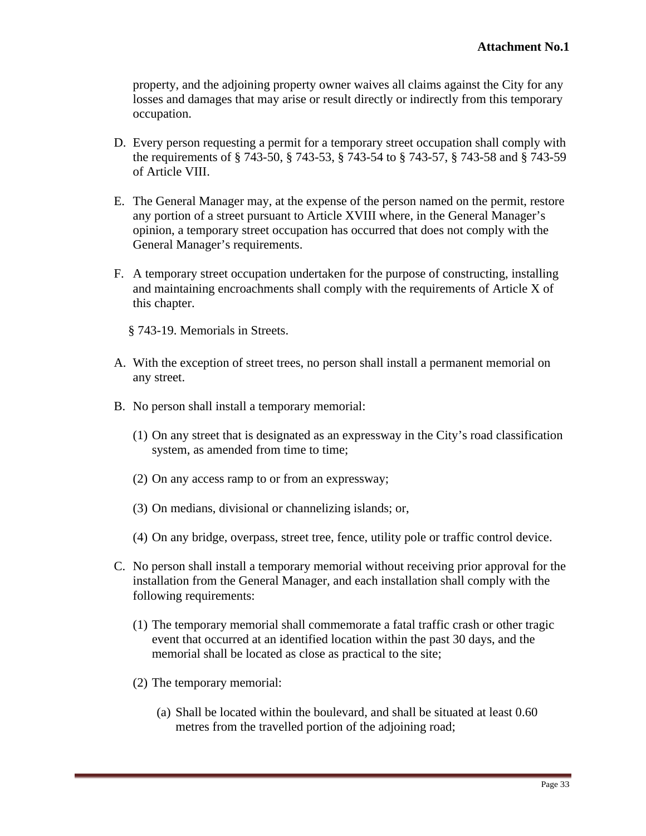property, and the adjoining property owner waives all claims against the City for any losses and damages that may arise or result directly or indirectly from this temporary occupation.

- D. Every person requesting a permit for a temporary street occupation shall comply with the requirements of § 743-50, § 743-53, § 743-54 to § 743-57, § 743-58 and § 743-59 of Article VIII.
- E. The General Manager may, at the expense of the person named on the permit, restore any portion of a street pursuant to Article XVIII where, in the General Manager's opinion, a temporary street occupation has occurred that does not comply with the General Manager's requirements.
- F. A temporary street occupation undertaken for the purpose of constructing, installing and maintaining encroachments shall comply with the requirements of Article X of this chapter.
	- § 743-19. Memorials in Streets.
- A. With the exception of street trees, no person shall install a permanent memorial on any street.
- B. No person shall install a temporary memorial:
	- (1) On any street that is designated as an expressway in the City's road classification system, as amended from time to time;
	- (2) On any access ramp to or from an expressway;
	- (3) On medians, divisional or channelizing islands; or,
	- (4) On any bridge, overpass, street tree, fence, utility pole or traffic control device.
- C. No person shall install a temporary memorial without receiving prior approval for the installation from the General Manager, and each installation shall comply with the following requirements:
	- (1) The temporary memorial shall commemorate a fatal traffic crash or other tragic event that occurred at an identified location within the past 30 days, and the memorial shall be located as close as practical to the site;
	- (2) The temporary memorial:
		- (a) Shall be located within the boulevard, and shall be situated at least 0.60 metres from the travelled portion of the adjoining road;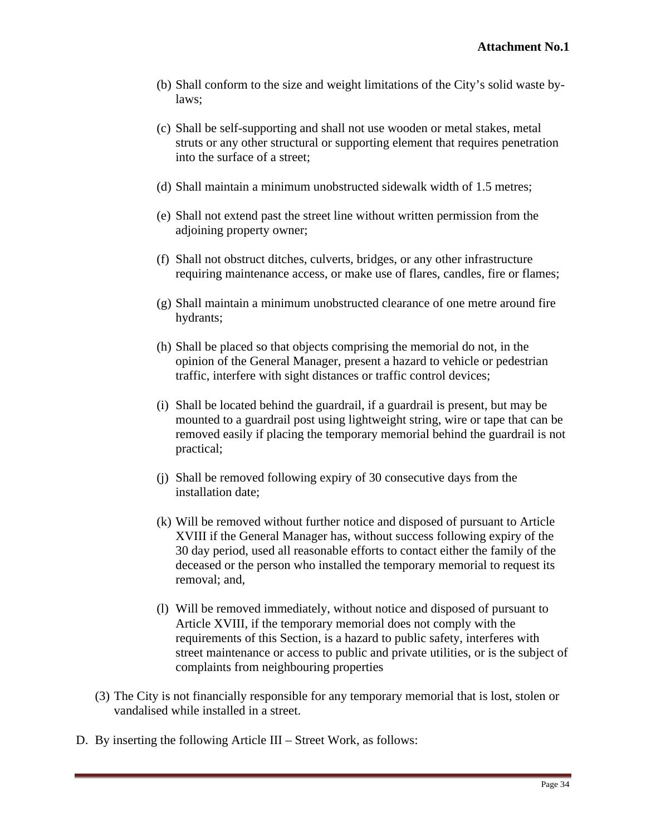- (b) Shall conform to the size and weight limitations of the City's solid waste bylaws;
- (c) Shall be self-supporting and shall not use wooden or metal stakes, metal struts or any other structural or supporting element that requires penetration into the surface of a street;
- (d) Shall maintain a minimum unobstructed sidewalk width of 1.5 metres;
- (e) Shall not extend past the street line without written permission from the adjoining property owner;
- (f) Shall not obstruct ditches, culverts, bridges, or any other infrastructure requiring maintenance access, or make use of flares, candles, fire or flames;
- (g) Shall maintain a minimum unobstructed clearance of one metre around fire hydrants; when the contract of the contract of the contract of the contract of the contract of the contract of the contract of the contract of the contract of the contract of the contract of the contract of the contract of
- (h) Shall be placed so that objects comprising the memorial do not, in the opinion of the General Manager, present a hazard to vehicle or pedestrian traffic, interfere with sight distances or traffic control devices;
- (i) Shall be located behind the guardrail, if a guardrail is present, but may be mounted to a guardrail post using lightweight string, wire or tape that can be removed easily if placing the temporary memorial behind the guardrail is not practical; the contraction of the contraction of the contraction of the contraction of the contraction of the contraction of the contraction of the contraction of the contraction of the contraction of the contraction of th
- (j) Shall be removed following expiry of 30 consecutive days from the installation date;
- (k) Will be removed without further notice and disposed of pursuant to Article XVIII if the General Manager has, without success following expiry of the 30 day period, used all reasonable efforts to contact either the family of the deceased or the person who installed the temporary memorial to request its removal; and,
- (l) Will be removed immediately, without notice and disposed of pursuant to Article XVIII, if the temporary memorial does not comply with the requirements of this Section, is a hazard to public safety, interferes with street maintenance or access to public and private utilities, or is the subject of complaints from neighbouring properties
- (3) The City is not financially responsible for any temporary memorial that is lost, stolen or vandalised while installed in a street.
- D. By inserting the following Article III Street Work, as follows: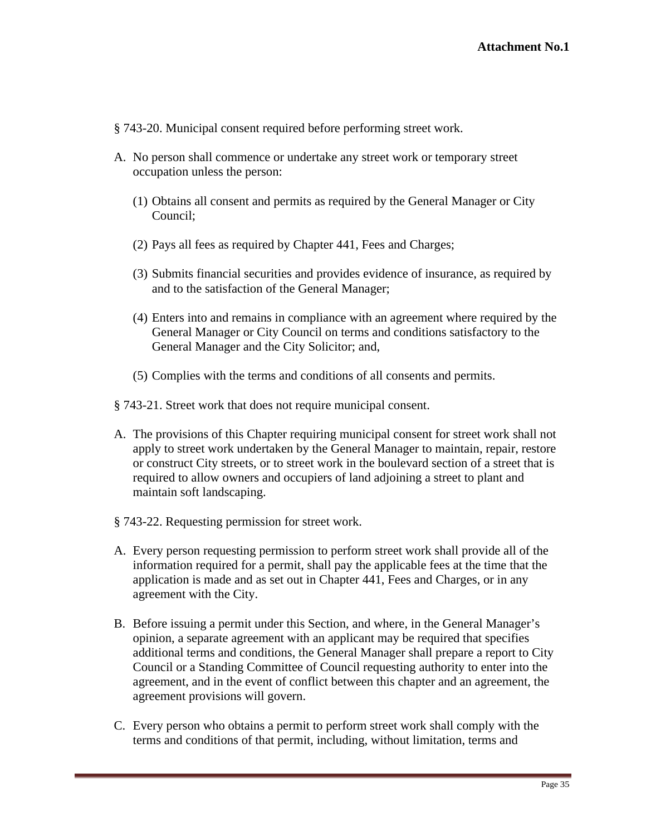- § 743-20. Municipal consent required before performing street work.
- A. No person shall commence or undertake any street work or temporary street occupation unless the person:
	- (1) Obtains all consent and permits as required by the General Manager or City Council;
	- (2) Pays all fees as required by Chapter 441, Fees and Charges;
	- (3) Submits financial securities and provides evidence of insurance, as required by and to the satisfaction of the General Manager;
	- (4) Enters into and remains in compliance with an agreement where required by the General Manager or City Council on terms and conditions satisfactory to the General Manager and the City Solicitor; and,
	- (5) Complies with the terms and conditions of all consents and permits.

§ 743-21. Street work that does not require municipal consent.

- A. The provisions of this Chapter requiring municipal consent for street work shall not apply to street work undertaken by the General Manager to maintain, repair, restore or construct City streets, or to street work in the boulevard section of a street that is required to allow owners and occupiers of land adjoining a street to plant and maintain soft landscaping.
- § 743-22. Requesting permission for street work.
- A. Every person requesting permission to perform street work shall provide all of the information required for a permit, shall pay the applicable fees at the time that the application is made and as set out in Chapter 441, Fees and Charges, or in any agreement with the City.
- B. Before issuing a permit under this Section, and where, in the General Manager's opinion, a separate agreement with an applicant may be required that specifies additional terms and conditions, the General Manager shall prepare a report to City Council or a Standing Committee of Council requesting authority to enter into the agreement, and in the event of conflict between this chapter and an agreement, the agreement provisions will govern.
- C. Every person who obtains a permit to perform street work shall comply with the terms and conditions of that permit, including, without limitation, terms and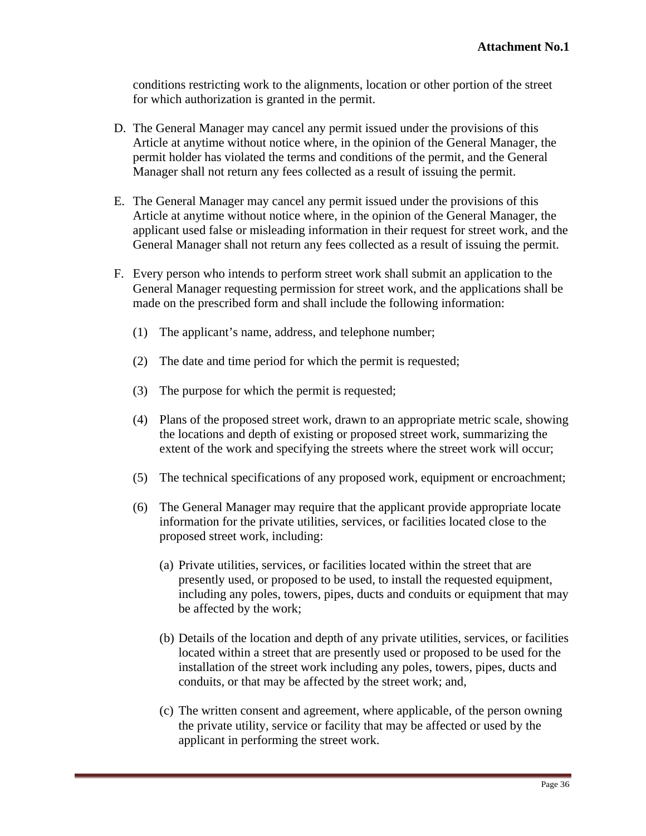conditions restricting work to the alignments, location or other portion of the street for which authorization is granted in the permit.

- D. The General Manager may cancel any permit issued under the provisions of this Article at anytime without notice where, in the opinion of the General Manager, the permit holder has violated the terms and conditions of the permit, and the General Manager shall not return any fees collected as a result of issuing the permit.
- E. The General Manager may cancel any permit issued under the provisions of this Article at anytime without notice where, in the opinion of the General Manager, the applicant used false or misleading information in their request for street work, and the General Manager shall not return any fees collected as a result of issuing the permit.
- F. Every person who intends to perform street work shall submit an application to the General Manager requesting permission for street work, and the applications shall be made on the prescribed form and shall include the following information:
	- (1) The applicant's name, address, and telephone number;
	- (2) The date and time period for which the permit is requested;
	- (3) The purpose for which the permit is requested;
	- (4) Plans of the proposed street work, drawn to an appropriate metric scale, showing the locations and depth of existing or proposed street work, summarizing the extent of the work and specifying the streets where the street work will occur;
	- (5) The technical specifications of any proposed work, equipment or encroachment;
	- (6) The General Manager may require that the applicant provide appropriate locate information for the private utilities, services, or facilities located close to the proposed street work, including:
		- (a) Private utilities, services, or facilities located within the street that are presently used, or proposed to be used, to install the requested equipment, including any poles, towers, pipes, ducts and conduits or equipment that may be affected by the work;
		- (b) Details of the location and depth of any private utilities, services, or facilities located within a street that are presently used or proposed to be used for the installation of the street work including any poles, towers, pipes, ducts and conduits, or that may be affected by the street work; and,
		- (c) The written consent and agreement, where applicable, of the person owning the private utility, service or facility that may be affected or used by the applicant in performing the street work.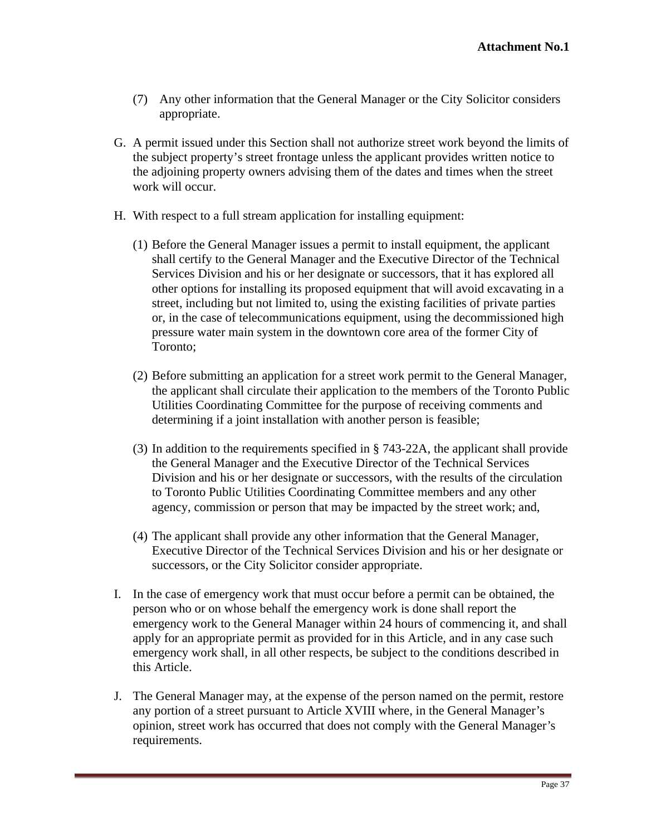- (7) Any other information that the General Manager or the City Solicitor considers appropriate.
- G. A permit issued under this Section shall not authorize street work beyond the limits of the subject property's street frontage unless the applicant provides written notice to the adjoining property owners advising them of the dates and times when the street work will occur.
- H. With respect to a full stream application for installing equipment:
	- (1) Before the General Manager issues a permit to install equipment, the applicant shall certify to the General Manager and the Executive Director of the Technical Services Division and his or her designate or successors, that it has explored all other options for installing its proposed equipment that will avoid excavating in a street, including but not limited to, using the existing facilities of private parties or, in the case of telecommunications equipment, using the decommissioned high pressure water main system in the downtown core area of the former City of Toronto;
	- (2) Before submitting an application for a street work permit to the General Manager, the applicant shall circulate their application to the members of the Toronto Public Utilities Coordinating Committee for the purpose of receiving comments and determining if a joint installation with another person is feasible;
	- (3) In addition to the requirements specified in § 743-22A, the applicant shall provide the General Manager and the Executive Director of the Technical Services Division and his or her designate or successors, with the results of the circulation to Toronto Public Utilities Coordinating Committee members and any other agency, commission or person that may be impacted by the street work; and,
	- (4) The applicant shall provide any other information that the General Manager, Executive Director of the Technical Services Division and his or her designate or successors, or the City Solicitor consider appropriate.
- I. In the case of emergency work that must occur before a permit can be obtained, the person who or on whose behalf the emergency work is done shall report the emergency work to the General Manager within 24 hours of commencing it, and shall apply for an appropriate permit as provided for in this Article, and in any case such emergency work shall, in all other respects, be subject to the conditions described in this Article.
- J. The General Manager may, at the expense of the person named on the permit, restore any portion of a street pursuant to Article XVIII where, in the General Manager's opinion, street work has occurred that does not comply with the General Manager's requirements.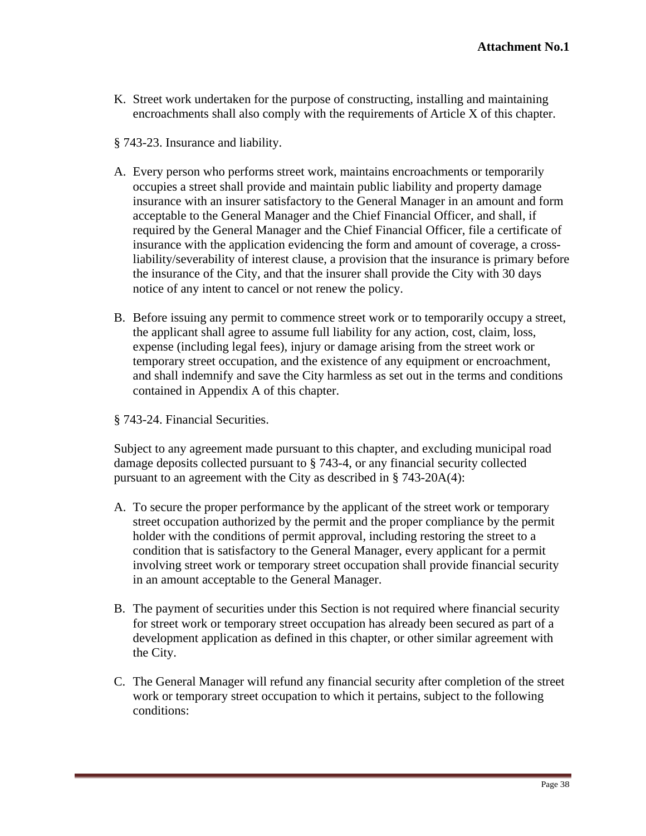- K. Street work undertaken for the purpose of constructing, installing and maintaining encroachments shall also comply with the requirements of Article X of this chapter.
- § 743-23. Insurance and liability.
- A. Every person who performs street work, maintains encroachments or temporarily occupies a street shall provide and maintain public liability and property damage insurance with an insurer satisfactory to the General Manager in an amount and form acceptable to the General Manager and the Chief Financial Officer, and shall, if required by the General Manager and the Chief Financial Officer, file a certificate of insurance with the application evidencing the form and amount of coverage, a crossliability/severability of interest clause, a provision that the insurance is primary before the insurance of the City, and that the insurer shall provide the City with 30 days notice of any intent to cancel or not renew the policy.
- B. Before issuing any permit to commence street work or to temporarily occupy a street, the applicant shall agree to assume full liability for any action, cost, claim, loss, expense (including legal fees), injury or damage arising from the street work or temporary street occupation, and the existence of any equipment or encroachment, and shall indemnify and save the City harmless as set out in the terms and conditions contained in Appendix A of this chapter.
- § 743-24. Financial Securities.

Subject to any agreement made pursuant to this chapter, and excluding municipal road damage deposits collected pursuant to § 743-4, or any financial security collected pursuant to an agreement with the City as described in § 743-20A(4):

- A. To secure the proper performance by the applicant of the street work or temporary street occupation authorized by the permit and the proper compliance by the permit holder with the conditions of permit approval, including restoring the street to a condition that is satisfactory to the General Manager, every applicant for a permit involving street work or temporary street occupation shall provide financial security in an amount acceptable to the General Manager.
- B. The payment of securities under this Section is not required where financial security for street work or temporary street occupation has already been secured as part of a development application as defined in this chapter, or other similar agreement with the City.
- C. The General Manager will refund any financial security after completion of the street work or temporary street occupation to which it pertains, subject to the following conditions: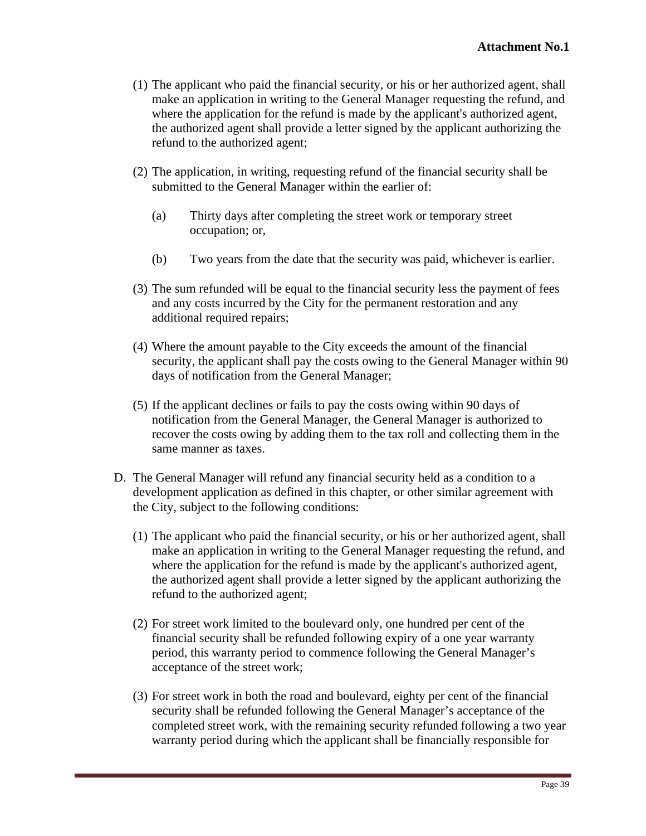- (1) The applicant who paid the financial security, or his or her authorized agent, shall make an application in writing to the General Manager requesting the refund, and where the application for the refund is made by the applicant's authorized agent, the authorized agent shall provide a letter signed by the applicant authorizing the refund to the authorized agent;
- (2) The application, in writing, requesting refund of the financial security shall be submitted to the General Manager within the earlier of:
	- (a) Thirty days after completing the street work or temporary street occupation; or,
	- (b) Two years from the date that the security was paid, whichever is earlier.
- (3) The sum refunded will be equal to the financial security less the payment of fees and any costs incurred by the City for the permanent restoration and any additional required repairs;
- (4) Where the amount payable to the City exceeds the amount of the financial security, the applicant shall pay the costs owing to the General Manager within 90 days of notification from the General Manager;
- (5) If the applicant declines or fails to pay the costs owing within 90 days of notification from the General Manager, the General Manager is authorized to recover the costs owing by adding them to the tax roll and collecting them in the same manner as taxes.
- D. The General Manager will refund any financial security held as a condition to a development application as defined in this chapter, or other similar agreement with the City, subject to the following conditions:
	- (1) The applicant who paid the financial security, or his or her authorized agent, shall make an application in writing to the General Manager requesting the refund, and where the application for the refund is made by the applicant's authorized agent, the authorized agent shall provide a letter signed by the applicant authorizing the refund to the authorized agent;
	- (2) For street work limited to the boulevard only, one hundred per cent of the financial security shall be refunded following expiry of a one year warranty period, this warranty period to commence following the General Manager's acceptance of the street work;
	- (3) For street work in both the road and boulevard, eighty per cent of the financial security shall be refunded following the General Manager's acceptance of the completed street work, with the remaining security refunded following a two year warranty period during which the applicant shall be financially responsible for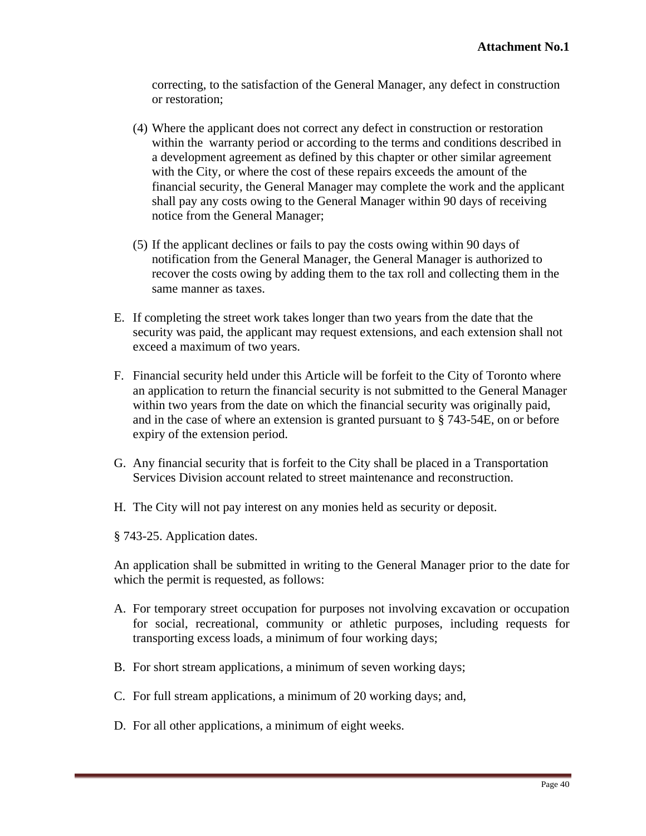correcting, to the satisfaction of the General Manager, any defect in construction or restoration;

- (4) Where the applicant does not correct any defect in construction or restoration within the warranty period or according to the terms and conditions described in a development agreement as defined by this chapter or other similar agreement with the City, or where the cost of these repairs exceeds the amount of the financial security, the General Manager may complete the work and the applicant shall pay any costs owing to the General Manager within 90 days of receiving notice from the General Manager;
- (5) If the applicant declines or fails to pay the costs owing within 90 days of notification from the General Manager, the General Manager is authorized to recover the costs owing by adding them to the tax roll and collecting them in the same manner as taxes.
- E. If completing the street work takes longer than two years from the date that the security was paid, the applicant may request extensions, and each extension shall not exceed a maximum of two years.
- F. Financial security held under this Article will be forfeit to the City of Toronto where an application to return the financial security is not submitted to the General Manager within two years from the date on which the financial security was originally paid, and in the case of where an extension is granted pursuant to § 743-54E, on or before expiry of the extension period.
- G. Any financial security that is forfeit to the City shall be placed in a Transportation Services Division account related to street maintenance and reconstruction.
- H. The City will not pay interest on any monies held as security or deposit.

§ 743-25. Application dates.

An application shall be submitted in writing to the General Manager prior to the date for which the permit is requested, as follows:

- A. For temporary street occupation for purposes not involving excavation or occupation for social, recreational, community or athletic purposes, including requests for transporting excess loads, a minimum of four working days;
- B. For short stream applications, a minimum of seven working days;
- C. For full stream applications, a minimum of 20 working days; and,
- D. For all other applications, a minimum of eight weeks.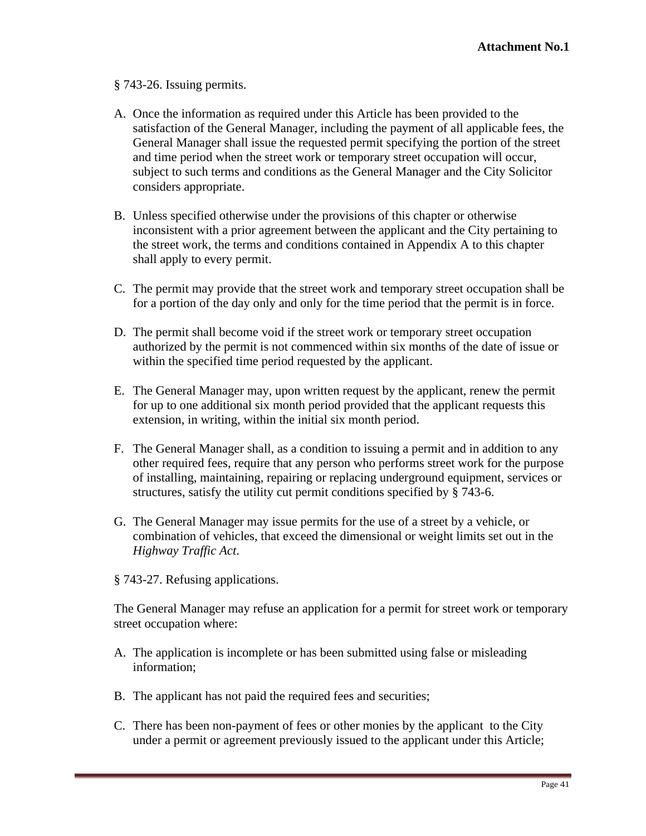## § 743-26. Issuing permits.

- A. Once the information as required under this Article has been provided to the satisfaction of the General Manager, including the payment of all applicable fees, the General Manager shall issue the requested permit specifying the portion of the street and time period when the street work or temporary street occupation will occur, subject to such terms and conditions as the General Manager and the City Solicitor considers appropriate.
- B. Unless specified otherwise under the provisions of this chapter or otherwise inconsistent with a prior agreement between the applicant and the City pertaining to the street work, the terms and conditions contained in Appendix A to this chapter shall apply to every permit.
- C. The permit may provide that the street work and temporary street occupation shall be for a portion of the day only and only for the time period that the permit is in force.
- D. The permit shall become void if the street work or temporary street occupation authorized by the permit is not commenced within six months of the date of issue or within the specified time period requested by the applicant.
- E. The General Manager may, upon written request by the applicant, renew the permit for up to one additional six month period provided that the applicant requests this extension, in writing, within the initial six month period.
- F. The General Manager shall, as a condition to issuing a permit and in addition to any other required fees, require that any person who performs street work for the purpose of installing, maintaining, repairing or replacing underground equipment, services or structures, satisfy the utility cut permit conditions specified by § 743-6.
- G. The General Manager may issue permits for the use of a street by a vehicle, or combination of vehicles, that exceed the dimensional or weight limits set out in the *Highway Traffic Act*.
- § 743-27. Refusing applications.

The General Manager may refuse an application for a permit for street work or temporary street occupation where:

- A. The application is incomplete or has been submitted using false or misleading information;
- B. The applicant has not paid the required fees and securities;
- C. There has been non-payment of fees or other monies by the applicant to the City under a permit or agreement previously issued to the applicant under this Article;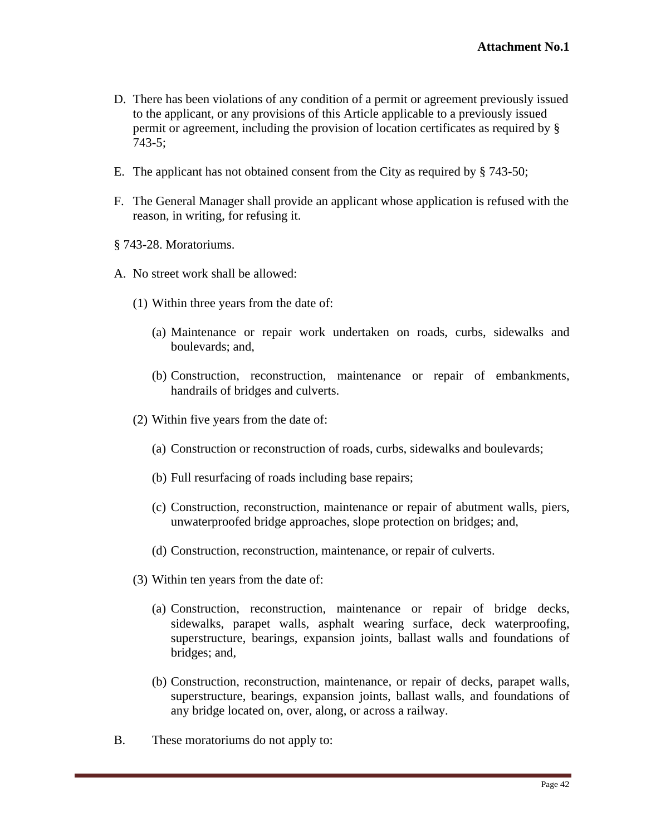- D. There has been violations of any condition of a permit or agreement previously issued to the applicant, or any provisions of this Article applicable to a previously issued permit or agreement, including the provision of location certificates as required by § 743-5;
- E. The applicant has not obtained consent from the City as required by § 743-50;
- F. The General Manager shall provide an applicant whose application is refused with the reason, in writing, for refusing it.
- § 743-28. Moratoriums.
- A. No street work shall be allowed:
	- (1) Within three years from the date of:
		- (a) Maintenance or repair work undertaken on roads, curbs, sidewalks and boulevards; and,
		- (b) Construction, reconstruction, maintenance or repair of embankments, handrails of bridges and culverts.
	- (2) Within five years from the date of:
		- (a) Construction or reconstruction of roads, curbs, sidewalks and boulevards;
		- (b) Full resurfacing of roads including base repairs;
		- (c) Construction, reconstruction, maintenance or repair of abutment walls, piers, unwaterproofed bridge approaches, slope protection on bridges; and,
		- (d) Construction, reconstruction, maintenance, or repair of culverts.
	- (3) Within ten years from the date of:
		- (a) Construction, reconstruction, maintenance or repair of bridge decks, sidewalks, parapet walls, asphalt wearing surface, deck waterproofing, superstructure, bearings, expansion joints, ballast walls and foundations of bridges; and,
		- (b) Construction, reconstruction, maintenance, or repair of decks, parapet walls, superstructure, bearings, expansion joints, ballast walls, and foundations of any bridge located on, over, along, or across a railway.
- B. These moratoriums do not apply to: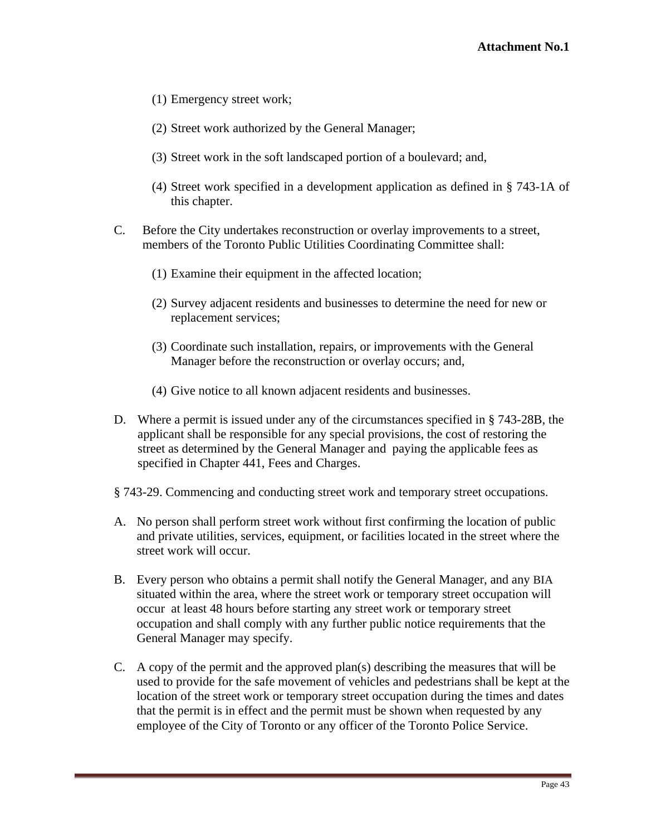- (1) Emergency street work;
- (2) Street work authorized by the General Manager;
- (3) Street work in the soft landscaped portion of a boulevard; and,
- (4) Street work specified in a development application as defined in § 743-1A of this chapter.
- C. Before the City undertakes reconstruction or overlay improvements to a street, members of the Toronto Public Utilities Coordinating Committee shall:
	- (1) Examine their equipment in the affected location;
	- (2) Survey adjacent residents and businesses to determine the need for new or replacement services;
	- (3) Coordinate such installation, repairs, or improvements with the General Manager before the reconstruction or overlay occurs; and,
	- (4) Give notice to all known adjacent residents and businesses.
- D. Where a permit is issued under any of the circumstances specified in § 743-28B, the applicant shall be responsible for any special provisions, the cost of restoring the street as determined by the General Manager and paying the applicable fees as specified in Chapter 441, Fees and Charges.
- § 743-29. Commencing and conducting street work and temporary street occupations.
- A. No person shall perform street work without first confirming the location of public and private utilities, services, equipment, or facilities located in the street where the street work will occur.
- B. Every person who obtains a permit shall notify the General Manager, and any BIA situated within the area, where the street work or temporary street occupation will occur at least 48 hours before starting any street work or temporary street occupation and shall comply with any further public notice requirements that the General Manager may specify.
- C. A copy of the permit and the approved plan(s) describing the measures that will be used to provide for the safe movement of vehicles and pedestrians shall be kept at the location of the street work or temporary street occupation during the times and dates that the permit is in effect and the permit must be shown when requested by any employee of the City of Toronto or any officer of the Toronto Police Service.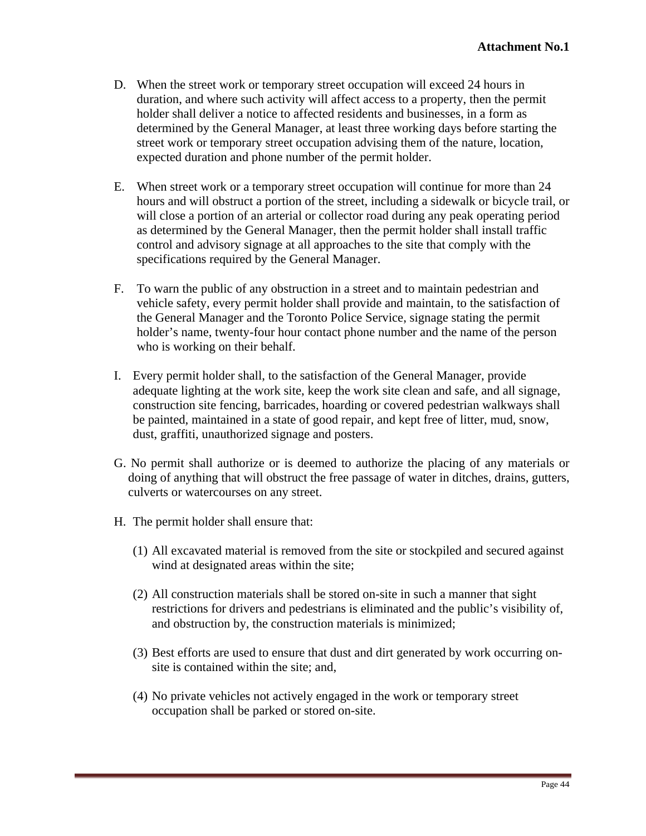- D. When the street work or temporary street occupation will exceed 24 hours in duration, and where such activity will affect access to a property, then the permit holder shall deliver a notice to affected residents and businesses, in a form as determined by the General Manager, at least three working days before starting the street work or temporary street occupation advising them of the nature, location, expected duration and phone number of the permit holder.
- E. When street work or a temporary street occupation will continue for more than 24 hours and will obstruct a portion of the street, including a sidewalk or bicycle trail, or will close a portion of an arterial or collector road during any peak operating period as determined by the General Manager, then the permit holder shall install traffic control and advisory signage at all approaches to the site that comply with the specifications required by the General Manager.
- F. To warn the public of any obstruction in a street and to maintain pedestrian and vehicle safety, every permit holder shall provide and maintain, to the satisfaction of the General Manager and the Toronto Police Service, signage stating the permit holder's name, twenty-four hour contact phone number and the name of the person who is working on their behalf.
- I. Every permit holder shall, to the satisfaction of the General Manager, provide adequate lighting at the work site, keep the work site clean and safe, and all signage, construction site fencing, barricades, hoarding or covered pedestrian walkways shall be painted, maintained in a state of good repair, and kept free of litter, mud, snow, dust, graffiti, unauthorized signage and posters.
- G. No permit shall authorize or is deemed to authorize the placing of any materials or doing of anything that will obstruct the free passage of water in ditches, drains, gutters, culverts or watercourses on any street.
- H. The permit holder shall ensure that:
	- (1) All excavated material is removed from the site or stockpiled and secured against wind at designated areas within the site;
	- (2) All construction materials shall be stored on-site in such a manner that sight restrictions for drivers and pedestrians is eliminated and the public's visibility of, and obstruction by, the construction materials is minimized;
	- (3) Best efforts are used to ensure that dust and dirt generated by work occurring on site is contained within the site; and,
	- (4) No private vehicles not actively engaged in the work or temporary street occupation shall be parked or stored on-site.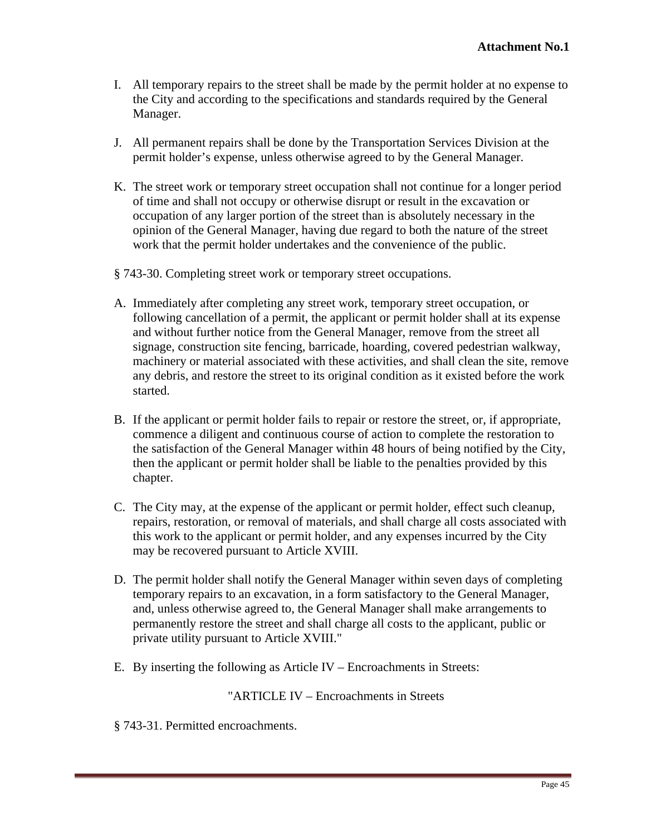- I. All temporary repairs to the street shall be made by the permit holder at no expense to the City and according to the specifications and standards required by the General Manager.
- J. All permanent repairs shall be done by the Transportation Services Division at the permit holder's expense, unless otherwise agreed to by the General Manager.
- K. The street work or temporary street occupation shall not continue for a longer period of time and shall not occupy or otherwise disrupt or result in the excavation or occupation of any larger portion of the street than is absolutely necessary in the opinion of the General Manager, having due regard to both the nature of the street work that the permit holder undertakes and the convenience of the public.
- § 743-30. Completing street work or temporary street occupations.
- A. Immediately after completing any street work, temporary street occupation, or following cancellation of a permit, the applicant or permit holder shall at its expense and without further notice from the General Manager, remove from the street all signage, construction site fencing, barricade, hoarding, covered pedestrian walkway, machinery or material associated with these activities, and shall clean the site, remove any debris, and restore the street to its original condition as it existed before the work started.
- B. If the applicant or permit holder fails to repair or restore the street, or, if appropriate, commence a diligent and continuous course of action to complete the restoration to the satisfaction of the General Manager within 48 hours of being notified by the City, then the applicant or permit holder shall be liable to the penalties provided by this chapter.
- C. The City may, at the expense of the applicant or permit holder, effect such cleanup, repairs, restoration, or removal of materials, and shall charge all costs associated with this work to the applicant or permit holder, and any expenses incurred by the City may be recovered pursuant to Article XVIII.
- D. The permit holder shall notify the General Manager within seven days of completing temporary repairs to an excavation, in a form satisfactory to the General Manager, and, unless otherwise agreed to, the General Manager shall make arrangements to permanently restore the street and shall charge all costs to the applicant, public or private utility pursuant to Article XVIII."
- E. By inserting the following as Article IV Encroachments in Streets:

## "ARTICLE IV – Encroachments in Streets

§ 743-31. Permitted encroachments.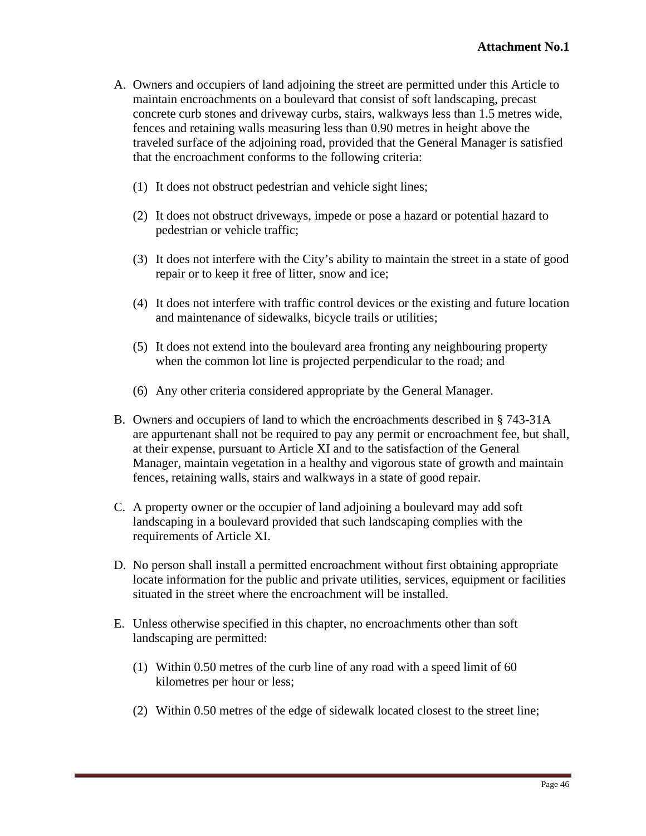- A. Owners and occupiers of land adjoining the street are permitted under this Article to maintain encroachments on a boulevard that consist of soft landscaping, precast concrete curb stones and driveway curbs, stairs, walkways less than 1.5 metres wide, fences and retaining walls measuring less than 0.90 metres in height above the traveled surface of the adjoining road, provided that the General Manager is satisfied that the encroachment conforms to the following criteria:
	- (1) It does not obstruct pedestrian and vehicle sight lines;
	- (2) It does not obstruct driveways, impede or pose a hazard or potential hazard to pedestrian or vehicle traffic;
	- (3) It does not interfere with the City's ability to maintain the street in a state of good repair or to keep it free of litter, snow and ice;
	- (4) It does not interfere with traffic control devices or the existing and future location and maintenance of sidewalks, bicycle trails or utilities;
	- (5) It does not extend into the boulevard area fronting any neighbouring property when the common lot line is projected perpendicular to the road; and
	- (6) Any other criteria considered appropriate by the General Manager.
- B. Owners and occupiers of land to which the encroachments described in § 743-31A are appurtenant shall not be required to pay any permit or encroachment fee, but shall, at their expense, pursuant to Article XI and to the satisfaction of the General Manager, maintain vegetation in a healthy and vigorous state of growth and maintain fences, retaining walls, stairs and walkways in a state of good repair.
- C. A property owner or the occupier of land adjoining a boulevard may add soft landscaping in a boulevard provided that such landscaping complies with the requirements of Article XI.
- D. No person shall install a permitted encroachment without first obtaining appropriate locate information for the public and private utilities, services, equipment or facilities situated in the street where the encroachment will be installed.
- E. Unless otherwise specified in this chapter, no encroachments other than soft landscaping are permitted:
	- (1) Within 0.50 metres of the curb line of any road with a speed limit of 60 kilometres per hour or less;
	- (2) Within 0.50 metres of the edge of sidewalk located closest to the street line;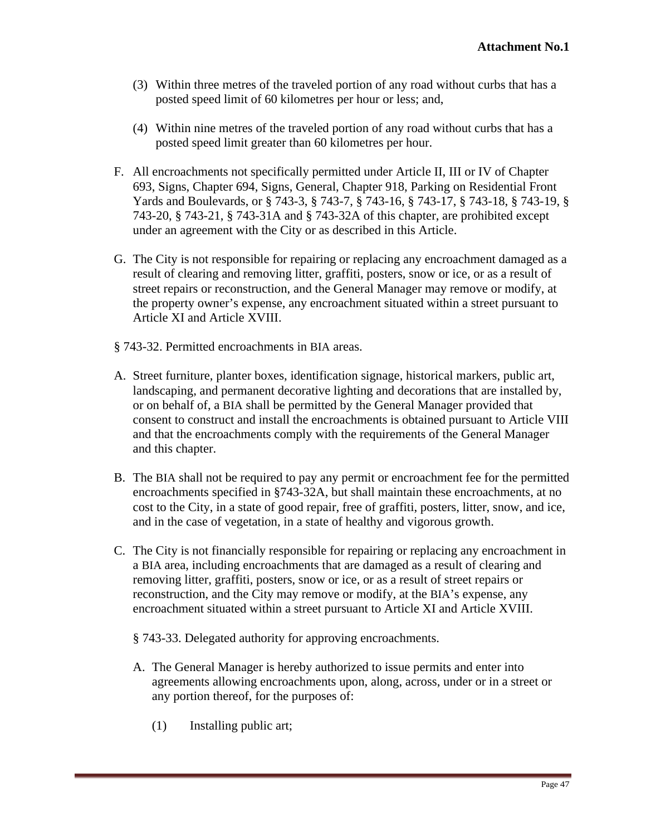- (3) Within three metres of the traveled portion of any road without curbs that has a posted speed limit of 60 kilometres per hour or less; and,
- (4) Within nine metres of the traveled portion of any road without curbs that has a posted speed limit greater than 60 kilometres per hour.
- F. All encroachments not specifically permitted under Article II, III or IV of Chapter 693, Signs, Chapter 694, Signs, General, Chapter 918, Parking on Residential Front Yards and Boulevards, or § 743-3, § 743-7, § 743-16, § 743-17, § 743-18, § 743-19, § 743-20, § 743-21, § 743-31A and § 743-32A of this chapter, are prohibited except under an agreement with the City or as described in this Article.
- G. The City is not responsible for repairing or replacing any encroachment damaged as a result of clearing and removing litter, graffiti, posters, snow or ice, or as a result of street repairs or reconstruction, and the General Manager may remove or modify, at the property owner's expense, any encroachment situated within a street pursuant to Article XI and Article XVIII.
- § 743-32. Permitted encroachments in BIA areas.
- A. Street furniture, planter boxes, identification signage, historical markers, public art, landscaping, and permanent decorative lighting and decorations that are installed by, or on behalf of, a BIA shall be permitted by the General Manager provided that consent to construct and install the encroachments is obtained pursuant to Article VIII and that the encroachments comply with the requirements of the General Manager and this chapter.
- B. The BIA shall not be required to pay any permit or encroachment fee for the permitted encroachments specified in §743-32A, but shall maintain these encroachments, at no cost to the City, in a state of good repair, free of graffiti, posters, litter, snow, and ice, and in the case of vegetation, in a state of healthy and vigorous growth.
- C. The City is not financially responsible for repairing or replacing any encroachment in a BIA area, including encroachments that are damaged as a result of clearing and removing litter, graffiti, posters, snow or ice, or as a result of street repairs or reconstruction, and the City may remove or modify, at the BIA's expense, any encroachment situated within a street pursuant to Article XI and Article XVIII.
	- § 743-33. Delegated authority for approving encroachments.
	- A. The General Manager is hereby authorized to issue permits and enter into agreements allowing encroachments upon, along, across, under or in a street or any portion thereof, for the purposes of:
		- (1) Installing public art;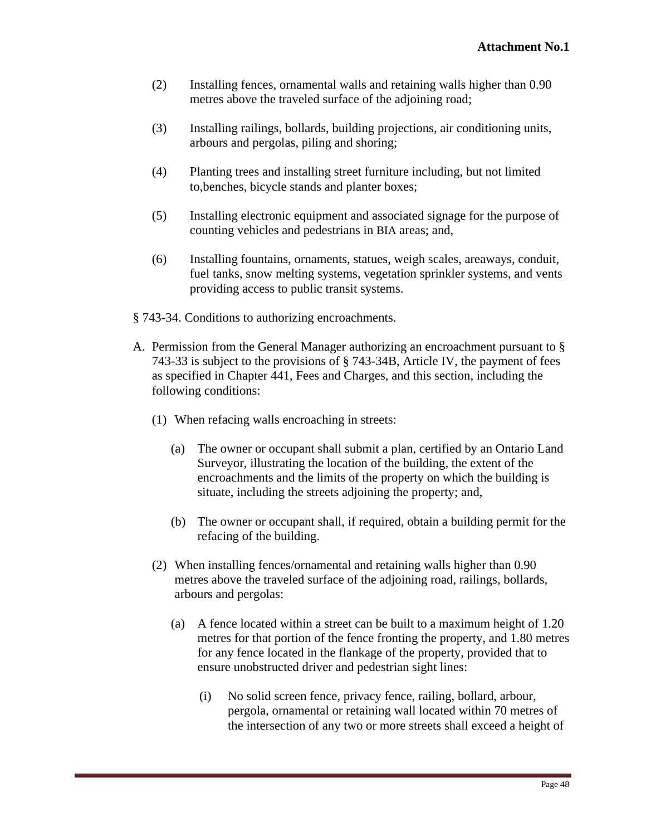- (2) Installing fences, ornamental walls and retaining walls higher than 0.90 metres above the traveled surface of the adjoining road;
- (3) Installing railings, bollards, building projections, air conditioning units, arbours and pergolas, piling and shoring;
- (4) Planting trees and installing street furniture including, but not limited to,benches, bicycle stands and planter boxes;
- (5) Installing electronic equipment and associated signage for the purpose of counting vehicles and pedestrians in BIA areas; and,
- (6) Installing fountains, ornaments, statues, weigh scales, areaways, conduit, fuel tanks, snow melting systems, vegetation sprinkler systems, and vents providing access to public transit systems.
- § 743-34. Conditions to authorizing encroachments.
- A. Permission from the General Manager authorizing an encroachment pursuant to § 743-33 is subject to the provisions of § 743-34B, Article IV, the payment of fees as specified in Chapter 441, Fees and Charges, and this section, including the following conditions:
	- (1) When refacing walls encroaching in streets:
		- (a) The owner or occupant shall submit a plan, certified by an Ontario Land Surveyor, illustrating the location of the building, the extent of the encroachments and the limits of the property on which the building is situate, including the streets adjoining the property; and,
		- (b) The owner or occupant shall, if required, obtain a building permit for the refacing of the building.
	- (2) When installing fences/ornamental and retaining walls higher than 0.90 metres above the traveled surface of the adjoining road, railings, bollards, arbours and pergolas:
		- (a) A fence located within a street can be built to a maximum height of 1.20 metres for that portion of the fence fronting the property, and 1.80 metres for any fence located in the flankage of the property, provided that to ensure unobstructed driver and pedestrian sight lines:
			- (i) No solid screen fence, privacy fence, railing, bollard, arbour, pergola, ornamental or retaining wall located within 70 metres of the intersection of any two or more streets shall exceed a height of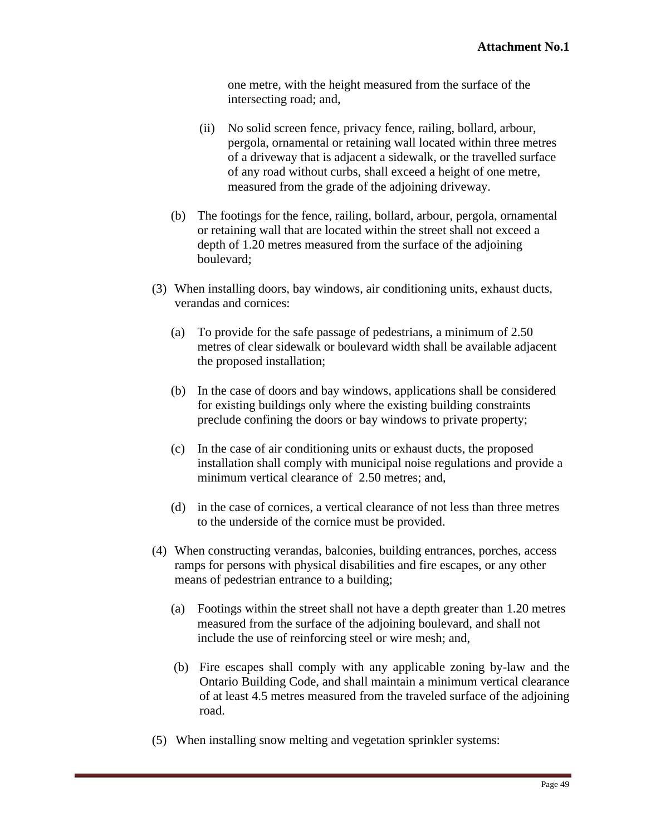one metre, with the height measured from the surface of the intersecting road; and,

- (ii) No solid screen fence, privacy fence, railing, bollard, arbour, pergola, ornamental or retaining wall located within three metres of a driveway that is adjacent a sidewalk, or the travelled surface of any road without curbs, shall exceed a height of one metre,
- measured from the grade of the adjoining driveway.<br>(b) The footings for the fence, railing, bollard, arbour, pergola, ornamental or retaining wall that are located within the street shall not exceed a depth of 1.20 metres measured from the surface of the adjoining boulevard; the contract of the contract of the contract of the contract of the contract of the contract of the contract of the contract of the contract of the contract of the contract of the contract of the contract of the
- (3) When installing doors, bay windows, air conditioning units, exhaust ducts, verandas and cornices:
	- (a) To provide for the safe passage of pedestrians, a minimum of 2.50 metres of clear sidewalk or boulevard width shall be available adjacent the proposed installation;
	- (b) In the case of doors and bay windows, applications shall be considered for existing buildings only where the existing building constraints preclude confining the doors or bay windows to private property;
	- (c) In the case of air conditioning units or exhaust ducts, the proposed installation shall comply with municipal noise regulations and provide a minimum vertical clearance of 2.50 metres; and,
	- (d) in the case of cornices, a vertical clearance of not less than three metres to the underside of the cornice must be provided.
- (4) When constructing verandas, balconies, building entrances, porches, access ramps for persons with physical disabilities and fire escapes, or any other means of pedestrian entrance to a building;
	- (a) Footings within the street shall not have a depth greater than 1.20 metres measured from the surface of the adjoining boulevard, and shall not include the use of reinforcing steel or wire mesh; and,
	- (b) Fire escapes shall comply with any applicable zoning by-law and the Ontario Building Code, and shall maintain a minimum vertical clearance of at least 4.5 metres measured from the traveled surface of the adjoining road.
- (5) When installing snow melting and vegetation sprinkler systems: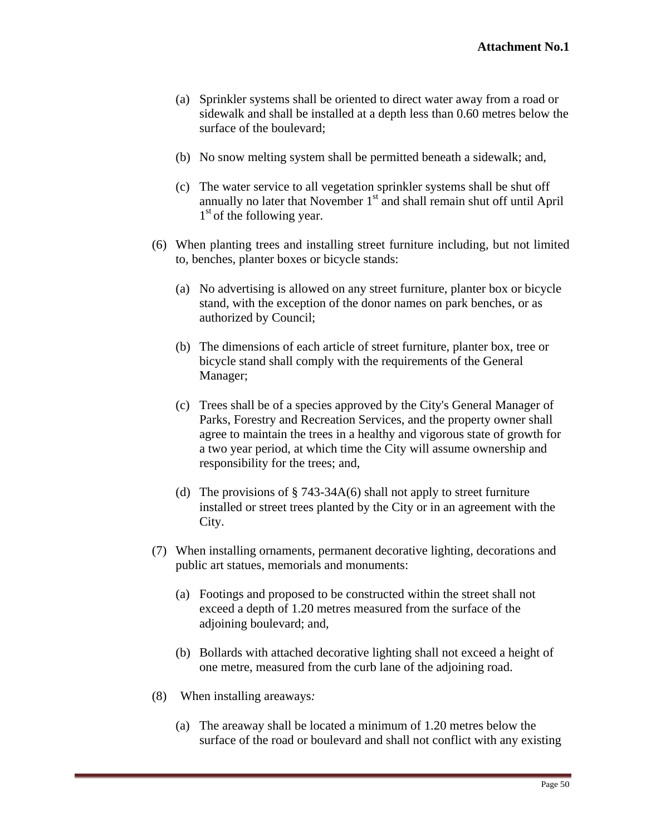- (a) Sprinkler systems shall be oriented to direct water away from a road or sidewalk and shall be installed at a depth less than 0.60 metres below the surface of the boulevard;
- (b) No snow melting system shall be permitted beneath a sidewalk; and,
- (c) The water service to all vegetation sprinkler systems shall be shut off annually no later that November  $1<sup>st</sup>$  and shall remain shut off until April  $1<sup>st</sup>$  of the following year.  $1<sup>st</sup>$  of the following year.
- (6) When planting trees and installing street furniture including, but not limited to, benches, planter boxes or bicycle stands:
	- (a) No advertising is allowed on any street furniture, planter box or bicycle stand, with the exception of the donor names on park benches, or as authorized by Council;
	- (b) The dimensions of each article of street furniture, planter box, tree or bicycle stand shall comply with the requirements of the General Manager;
	- (c) Trees shall be of a species approved by the City's General Manager of Parks, Forestry and Recreation Services, and the property owner shall agree to maintain the trees in a healthy and vigorous state of growth for a two year period, at which time the City will assume ownership and responsibility for the trees; and,
	- (d) The provisions of  $\S$  743-34A(6) shall not apply to street furniture installed or street trees planted by the City or in an agreement with the City.
- (7) When installing ornaments, permanent decorative lighting, decorations and public art statues, memorials and monuments:
	- (a) Footings and proposed to be constructed within the street shall not exceed a depth of 1.20 metres measured from the surface of the adjoining boulevard; and,
	- (b) Bollards with attached decorative lighting shall not exceed a height of one metre, measured from the curb lane of the adjoining road.
- (8) When installing areaways*:*
	- (a) The areaway shall be located a minimum of 1.20 metres below the surface of the road or boulevard and shall not conflict with any existing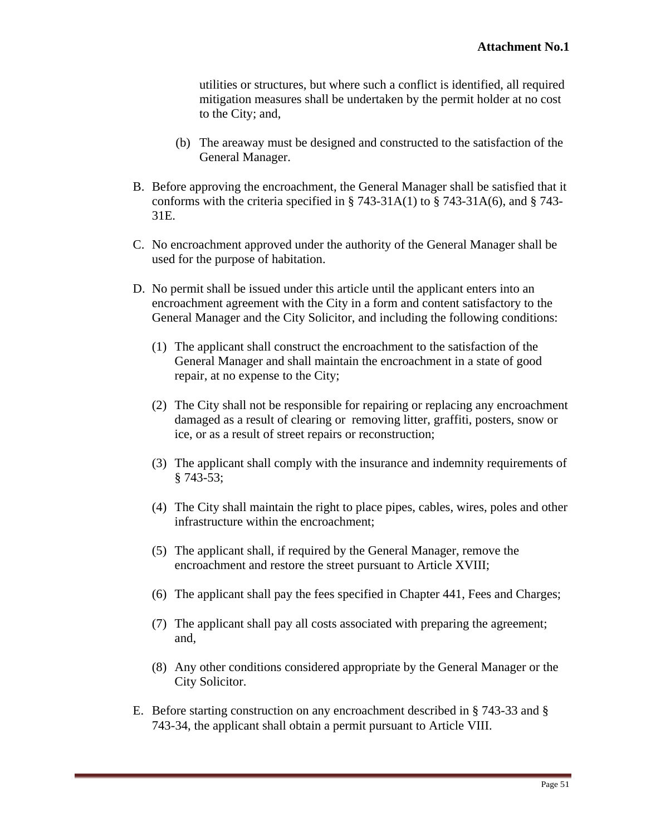utilities or structures, but where such a conflict is identified, all required mitigation measures shall be undertaken by the permit holder at no cost to the City; and,

- (b) The areaway must be designed and constructed to the satisfaction of the General Manager.
- B. Before approving the encroachment, the General Manager shall be satisfied that it conforms with the criteria specified in § 743-31A(1) to § 743-31A(6), and § 743- 31E.
- C. No encroachment approved under the authority of the General Manager shall be used for the purpose of habitation.
- D. No permit shall be issued under this article until the applicant enters into an encroachment agreement with the City in a form and content satisfactory to the General Manager and the City Solicitor, and including the following conditions:
	- (1) The applicant shall construct the encroachment to the satisfaction of the General Manager and shall maintain the encroachment in a state of good repair, at no expense to the City;
	- (2) The City shall not be responsible for repairing or replacing any encroachment damaged as a result of clearing or removing litter, graffiti, posters, snow or ice, or as a result of street repairs or reconstruction;
	- (3) The applicant shall comply with the insurance and indemnity requirements of  $§ 743-53;$
	- (4) The City shall maintain the right to place pipes, cables, wires, poles and other infrastructure within the encroachment;
	- (5) The applicant shall, if required by the General Manager, remove the encroachment and restore the street pursuant to Article XVIII;
	- (6) The applicant shall pay the fees specified in Chapter 441, Fees and Charges;
	- (7) The applicant shall pay all costs associated with preparing the agreement; and,
	- (8) Any other conditions considered appropriate by the General Manager or the City Solicitor.
- E. Before starting construction on any encroachment described in § 743-33 and § 743-34, the applicant shall obtain a permit pursuant to Article VIII.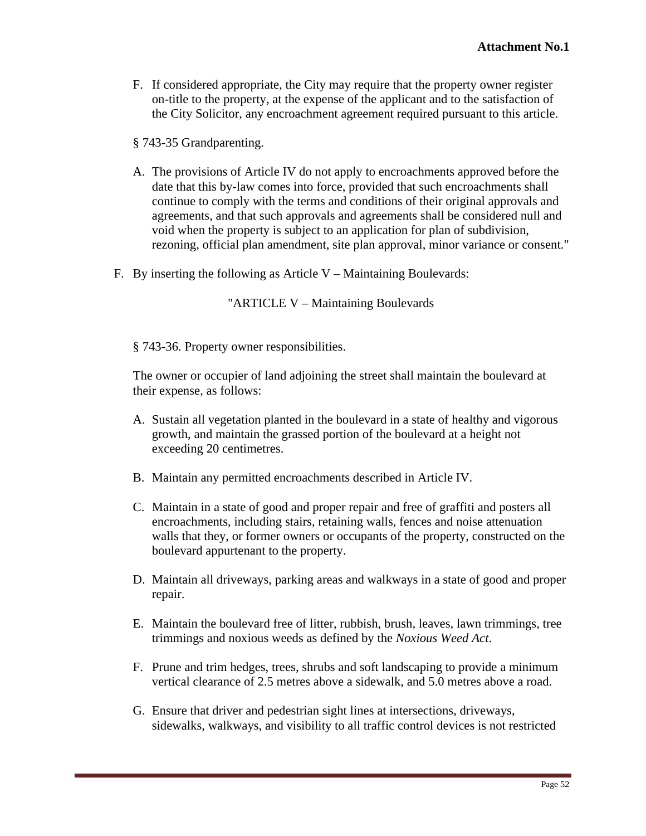F. If considered appropriate, the City may require that the property owner register on-title to the property, at the expense of the applicant and to the satisfaction of the City Solicitor, any encroachment agreement required pursuant to this article.

§ 743-35 Grandparenting.

- A. The provisions of Article IV do not apply to encroachments approved before the date that this by-law comes into force, provided that such encroachments shall continue to comply with the terms and conditions of their original approvals and agreements, and that such approvals and agreements shall be considered null and void when the property is subject to an application for plan of subdivision, rezoning, official plan amendment, site plan approval, minor variance or consent."
- F. By inserting the following as Article V Maintaining Boulevards:

"ARTICLE V – Maintaining Boulevards

§ 743-36. Property owner responsibilities.

The owner or occupier of land adjoining the street shall maintain the boulevard at their expense, as follows:

- A. Sustain all vegetation planted in the boulevard in a state of healthy and vigorous growth, and maintain the grassed portion of the boulevard at a height not exceeding 20 centimetres.
- B. Maintain any permitted encroachments described in Article IV.
- C. Maintain in a state of good and proper repair and free of graffiti and posters all encroachments, including stairs, retaining walls, fences and noise attenuation walls that they, or former owners or occupants of the property, constructed on the boulevard appurtenant to the property.
- D. Maintain all driveways, parking areas and walkways in a state of good and proper repair.
- E. Maintain the boulevard free of litter, rubbish, brush, leaves, lawn trimmings, tree trimmings and noxious weeds as defined by the *Noxious Weed Act*.
- F. Prune and trim hedges, trees, shrubs and soft landscaping to provide a minimum vertical clearance of 2.5 metres above a sidewalk, and 5.0 metres above a road.
- G. Ensure that driver and pedestrian sight lines at intersections, driveways, sidewalks, walkways, and visibility to all traffic control devices is not restricted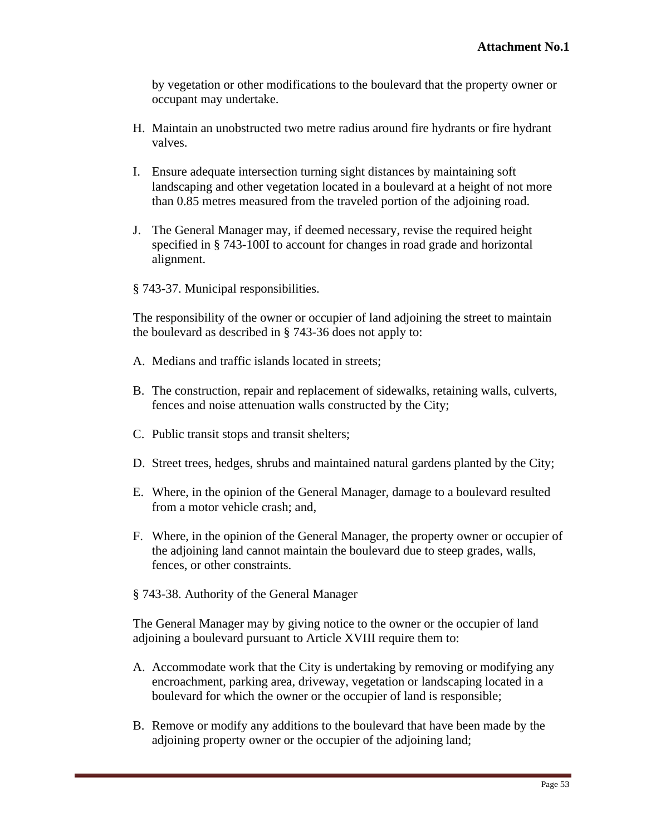by vegetation or other modifications to the boulevard that the property owner or occupant may undertake.

- H. Maintain an unobstructed two metre radius around fire hydrants or fire hydrant valves.
- I. Ensure adequate intersection turning sight distances by maintaining soft landscaping and other vegetation located in a boulevard at a height of not more than 0.85 metres measured from the traveled portion of the adjoining road.
- J. The General Manager may, if deemed necessary, revise the required height specified in § 743-100I to account for changes in road grade and horizontal alignment.
- § 743-37. Municipal responsibilities.

The responsibility of the owner or occupier of land adjoining the street to maintain the boulevard as described in § 743-36 does not apply to:

- A. Medians and traffic islands located in streets;
- B. The construction, repair and replacement of sidewalks, retaining walls, culverts, fences and noise attenuation walls constructed by the City;
- C. Public transit stops and transit shelters;
- D. Street trees, hedges, shrubs and maintained natural gardens planted by the City;
- E. Where, in the opinion of the General Manager, damage to a boulevard resulted from a motor vehicle crash; and,
- F. Where, in the opinion of the General Manager, the property owner or occupier of the adjoining land cannot maintain the boulevard due to steep grades, walls, fences, or other constraints.
- § 743-38. Authority of the General Manager

The General Manager may by giving notice to the owner or the occupier of land adjoining a boulevard pursuant to Article XVIII require them to:

- A. Accommodate work that the City is undertaking by removing or modifying any encroachment, parking area, driveway, vegetation or landscaping located in a boulevard for which the owner or the occupier of land is responsible;
- B. Remove or modify any additions to the boulevard that have been made by the adjoining property owner or the occupier of the adjoining land;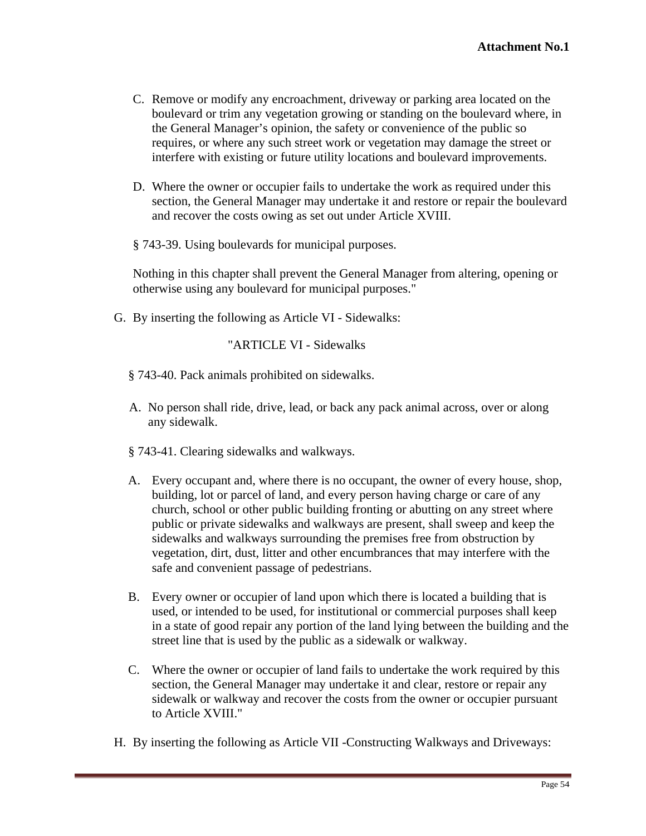- C. Remove or modify any encroachment, driveway or parking area located on the boulevard or trim any vegetation growing or standing on the boulevard where, in the General Manager's opinion, the safety or convenience of the public so requires, or where any such street work or vegetation may damage the street or interfere with existing or future utility locations and boulevard improvements.
- D. Where the owner or occupier fails to undertake the work as required under this section, the General Manager may undertake it and restore or repair the boulevard and recover the costs owing as set out under Article XVIII.
- § 743-39. Using boulevards for municipal purposes.

Nothing in this chapter shall prevent the General Manager from altering, opening or otherwise using any boulevard for municipal purposes."

G. By inserting the following as Article VI - Sidewalks:

"ARTICLE VI - Sidewalks

- § 743-40. Pack animals prohibited on sidewalks.
- A. No person shall ride, drive, lead, or back any pack animal across, over or along any sidewalk.
- § 743-41. Clearing sidewalks and walkways.
- A. Every occupant and, where there is no occupant, the owner of every house, shop, building, lot or parcel of land, and every person having charge or care of any church, school or other public building fronting or abutting on any street where public or private sidewalks and walkways are present, shall sweep and keep the sidewalks and walkways surrounding the premises free from obstruction by vegetation, dirt, dust, litter and other encumbrances that may interfere with the safe and convenient passage of pedestrians.
- B. Every owner or occupier of land upon which there is located a building that is used, or intended to be used, for institutional or commercial purposes shall keep in a state of good repair any portion of the land lying between the building and the street line that is used by the public as a sidewalk or walkway.
- C. Where the owner or occupier of land fails to undertake the work required by this section, the General Manager may undertake it and clear, restore or repair any sidewalk or walkway and recover the costs from the owner or occupier pursuant to Article XVIII."
- H. By inserting the following as Article VII -Constructing Walkways and Driveways: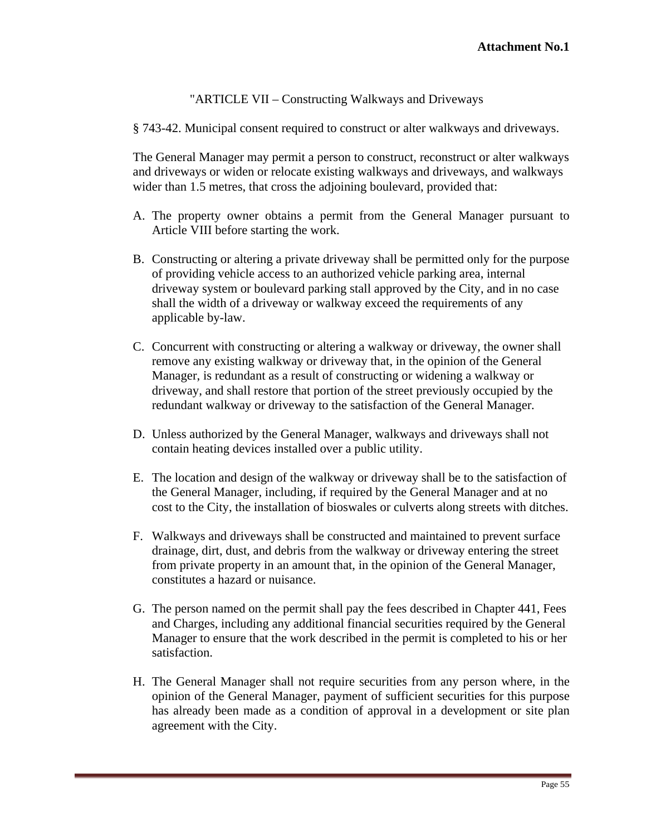"ARTICLE VII – Constructing Walkways and Driveways

§ 743-42. Municipal consent required to construct or alter walkways and driveways.

The General Manager may permit a person to construct, reconstruct or alter walkways and driveways or widen or relocate existing walkways and driveways, and walkways wider than 1.5 metres, that cross the adioining boulevard, provided that:

- A. The property owner obtains a permit from the General Manager pursuant to Article VIII before starting the work.
- B. Constructing or altering a private driveway shall be permitted only for the purpose of providing vehicle access to an authorized vehicle parking area, internal driveway system or boulevard parking stall approved by the City, and in no case shall the width of a driveway or walkway exceed the requirements of any applicable by-law.
- C. Concurrent with constructing or altering a walkway or driveway, the owner shall remove any existing walkway or driveway that, in the opinion of the General Manager, is redundant as a result of constructing or widening a walkway or driveway, and shall restore that portion of the street previously occupied by the redundant walkway or driveway to the satisfaction of the General Manager*.*
- D. Unless authorized by the General Manager, walkways and driveways shall not contain heating devices installed over a public utility.
- E. The location and design of the walkway or driveway shall be to the satisfaction of the General Manager, including, if required by the General Manager and at no cost to the City, the installation of bioswales or culverts along streets with ditches.
- F. Walkways and driveways shall be constructed and maintained to prevent surface drainage, dirt, dust, and debris from the walkway or driveway entering the street from private property in an amount that, in the opinion of the General Manager, constitutes a hazard or nuisance.
- G. The person named on the permit shall pay the fees described in Chapter 441, Fees and Charges, including any additional financial securities required by the General Manager to ensure that the work described in the permit is completed to his or her satisfaction.
- H. The General Manager shall not require securities from any person where, in the opinion of the General Manager, payment of sufficient securities for this purpose has already been made as a condition of approval in a development or site plan agreement with the City.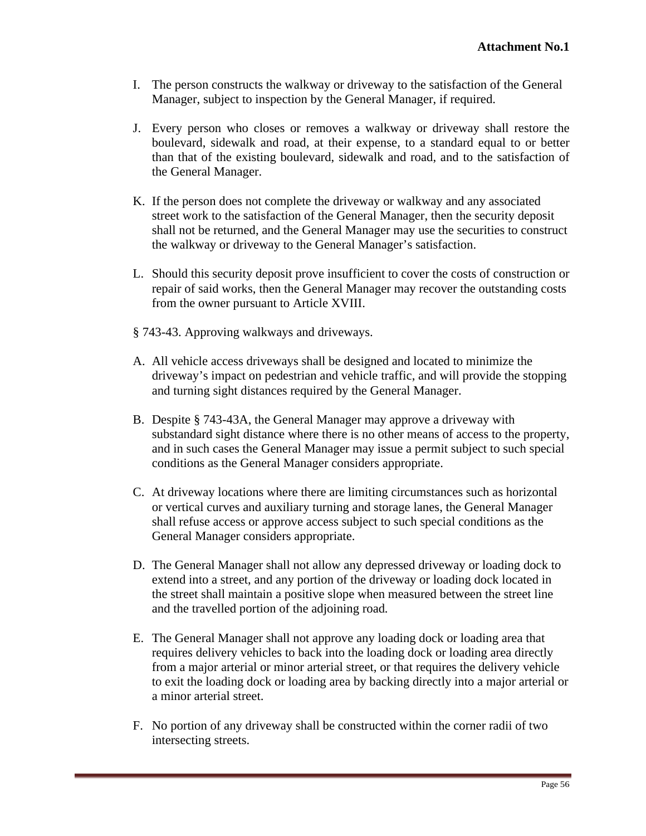- I. The person constructs the walkway or driveway to the satisfaction of the General Manager, subject to inspection by the General Manager, if required.
- J. Every person who closes or removes a walkway or driveway shall restore the boulevard, sidewalk and road, at their expense, to a standard equal to or better than that of the existing boulevard, sidewalk and road, and to the satisfaction of the General Manager.
- K. If the person does not complete the driveway or walkway and any associated street work to the satisfaction of the General Manager, then the security deposit shall not be returned, and the General Manager may use the securities to construct the walkway or driveway to the General Manager's satisfaction.
- L. Should this security deposit prove insufficient to cover the costs of construction or repair of said works, then the General Manager may recover the outstanding costs from the owner pursuant to Article XVIII.
- § 743-43. Approving walkways and driveways.
- A. All vehicle access driveways shall be designed and located to minimize the driveway's impact on pedestrian and vehicle traffic, and will provide the stopping and turning sight distances required by the General Manager.
- B. Despite § 743-43A, the General Manager may approve a driveway with substandard sight distance where there is no other means of access to the property, and in such cases the General Manager may issue a permit subject to such special conditions as the General Manager considers appropriate.
- C. At driveway locations where there are limiting circumstances such as horizontal or vertical curves and auxiliary turning and storage lanes, the General Manager shall refuse access or approve access subject to such special conditions as the General Manager considers appropriate.
- D. The General Manager shall not allow any depressed driveway or loading dock to extend into a street, and any portion of the driveway or loading dock located in the street shall maintain a positive slope when measured between the street line and the travelled portion of the adjoining road*.*
- E. The General Manager shall not approve any loading dock or loading area that requires delivery vehicles to back into the loading dock or loading area directly from a major arterial or minor arterial street, or that requires the delivery vehicle to exit the loading dock or loading area by backing directly into a major arterial or a minor arterial street.
- F. No portion of any driveway shall be constructed within the corner radii of two intersecting streets.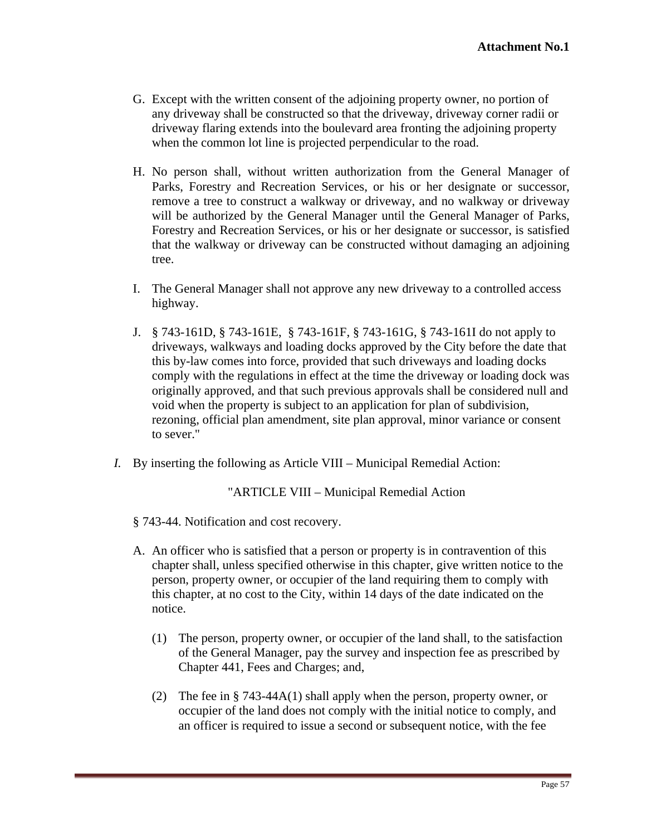- G. Except with the written consent of the adjoining property owner, no portion of any driveway shall be constructed so that the driveway, driveway corner radii or driveway flaring extends into the boulevard area fronting the adjoining property
- when the common lot line is projected perpendicular to the road.<br>H. No person shall, without written authorization from the General Manager of Parks, Forestry and Recreation Services, or his or her designate or successor, remove a tree to construct a walkway or driveway, and no walkway or driveway will be authorized by the General Manager until the General Manager of Parks, Forestry and Recreation Services, or his or her designate or successor, is satisfied that the walkway or driveway can be constructed without damaging an adjoining tree.
- I. The General Manager shall not approve any new driveway to a controlled access highway.
- J. § 743-161D, § 743-161E, § 743-161F, § 743-161G, § 743-161I do not apply to driveways, walkways and loading docks approved by the City before the date that this by-law comes into force, provided that such driveways and loading docks comply with the regulations in effect at the time the driveway or loading dock was originally approved, and that such previous approvals shall be considered null and void when the property is subject to an application for plan of subdivision, rezoning, official plan amendment, site plan approval, minor variance or consent to sever."
- *I.* By inserting the following as Article VIII Municipal Remedial Action:

"ARTICLE VIII – Municipal Remedial Action

§ 743-44. Notification and cost recovery.

- A. An officer who is satisfied that a person or property is in contravention of this chapter shall, unless specified otherwise in this chapter, give written notice to the person, property owner, or occupier of the land requiring them to comply with this chapter, at no cost to the City, within 14 days of the date indicated on the notice.
	- (1) The person, property owner, or occupier of the land shall, to the satisfaction of the General Manager, pay the survey and inspection fee as prescribed by Chapter 441, Fees and Charges; and,
	- (2) The fee in § 743-44A(1) shall apply when the person, property owner, or occupier of the land does not comply with the initial notice to comply, and an officer is required to issue a second or subsequent notice, with the fee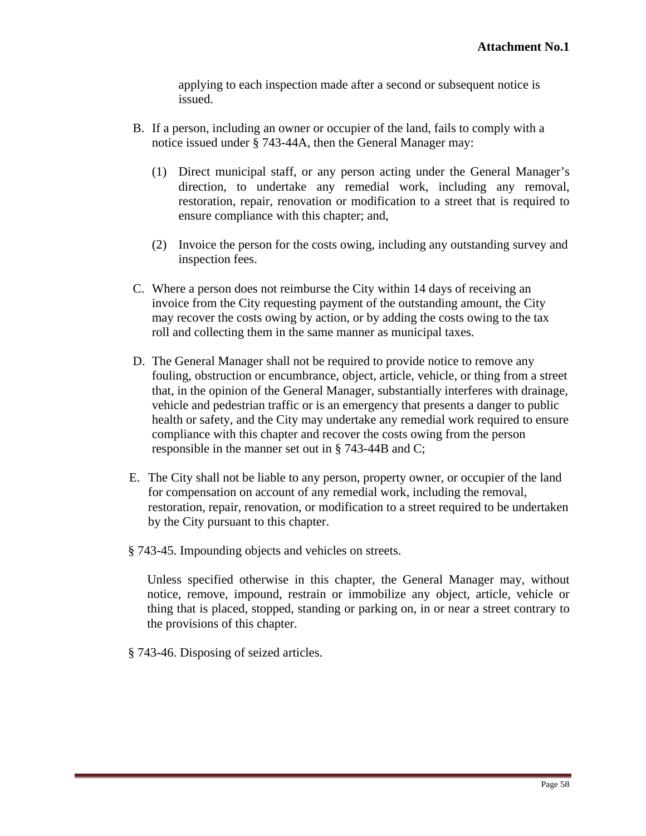applying to each inspection made after a second or subsequent notice is issued.

- B. If a person, including an owner or occupier of the land, fails to comply with a notice issued under § 743-44A, then the General Manager may:
	- (1) Direct municipal staff, or any person acting under the General Manager's direction, to undertake any remedial work, including any removal, restoration, repair, renovation or modification to a street that is required to ensure compliance with this chapter; and,
	- (2) Invoice the person for the costs owing, including any outstanding survey and inspection fees.
- C. Where a person does not reimburse the City within 14 days of receiving an invoice from the City requesting payment of the outstanding amount, the City may recover the costs owing by action, or by adding the costs owing to the tax roll and collecting them in the same manner as municipal taxes.
- D. The General Manager shall not be required to provide notice to remove any fouling, obstruction or encumbrance, object, article, vehicle, or thing from a street that, in the opinion of the General Manager, substantially interferes with drainage, vehicle and pedestrian traffic or is an emergency that presents a danger to public health or safety, and the City may undertake any remedial work required to ensure compliance with this chapter and recover the costs owing from the person responsible in the manner set out in § 743-44B and C;
- E. The City shall not be liable to any person, property owner, or occupier of the land for compensation on account of any remedial work, including the removal, restoration, repair, renovation, or modification to a street required to be undertaken by the City pursuant to this chapter.
- § 743-45. Impounding objects and vehicles on streets.

Unless specified otherwise in this chapter, the General Manager may, without notice, remove, impound, restrain or immobilize any object, article, vehicle or thing that is placed, stopped, standing or parking on, in or near a street contrary to the provisions of this chapter.

§ 743-46. Disposing of seized articles.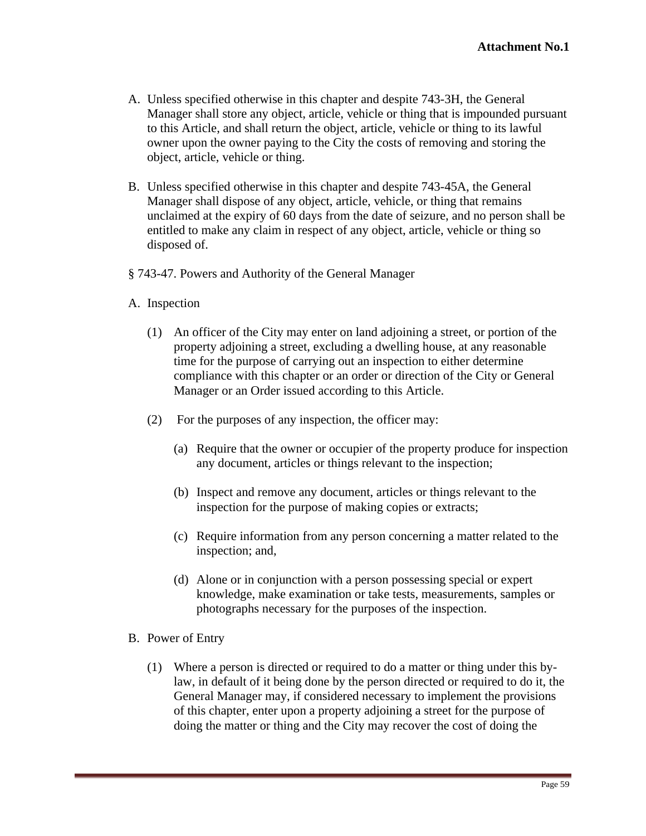- A. Unless specified otherwise in this chapter and despite 743-3H, the General Manager shall store any object, article, vehicle or thing that is impounded pursuant to this Article, and shall return the object, article, vehicle or thing to its lawful owner upon the owner paying to the City the costs of removing and storing the object, article, vehicle or thing.
- B. Unless specified otherwise in this chapter and despite 743-45A, the General Manager shall dispose of any object, article, vehicle, or thing that remains unclaimed at the expiry of 60 days from the date of seizure, and no person shall be entitled to make any claim in respect of any object, article, vehicle or thing so disposed of  $\alpha$
- § 743-47. Powers and Authority of the General Manager
- A. Inspection
	- (1) An officer of the City may enter on land adjoining a street, or portion of the property adjoining a street, excluding a dwelling house, at any reasonable time for the purpose of carrying out an inspection to either determine compliance with this chapter or an order or direction of the City or General Manager or an Order issued according to this Article.
	- (2) For the purposes of any inspection, the officer may:
		- (a) Require that the owner or occupier of the property produce for inspection any document, articles or things relevant to the inspection;
		- (b) Inspect and remove any document, articles or things relevant to the inspection for the purpose of making copies or extracts;
		- (c) Require information from any person concerning a matter related to the inspection; and,
		- (d) Alone or in conjunction with a person possessing special or expert knowledge, make examination or take tests, measurements, samples or photographs necessary for the purposes of the inspection.
- B. Power of Entry
	- (1) Where a person is directed or required to do a matter or thing under this bylaw, in default of it being done by the person directed or required to do it, the General Manager may, if considered necessary to implement the provisions of this chapter, enter upon a property adjoining a street for the purpose of doing the matter or thing and the City may recover the cost of doing the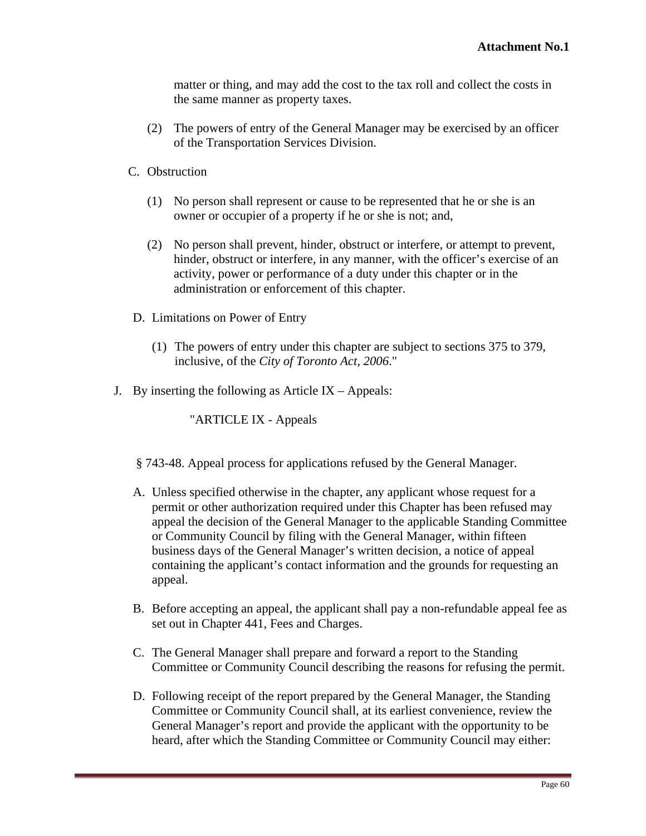matter or thing, and may add the cost to the tax roll and collect the costs in the same manner as property taxes.

- (2) The powers of entry of the General Manager may be exercised by an officer of the Transportation Services Division.
- C. Obstruction
	- (1) No person shall represent or cause to be represented that he or she is an owner or occupier of a property if he or she is not; and,
	- (2) No person shall prevent, hinder, obstruct or interfere, or attempt to prevent, hinder, obstruct or interfere, in any manner, with the officer's exercise of an activity, power or performance of a duty under this chapter or in the administration or enforcement of this chapter.
- D. Limitations on Power of Entry
	- (1) The powers of entry under this chapter are subject to sections 375 to 379, inclusive, of the *City of Toronto Act, 2006*."
- J. By inserting the following as Article IX Appeals:

"ARTICLE IX - Appeals

- § 743-48. Appeal process for applications refused by the General Manager.
- A. Unless specified otherwise in the chapter, any applicant whose request for a permit or other authorization required under this Chapter has been refused may appeal the decision of the General Manager to the applicable Standing Committee or Community Council by filing with the General Manager, within fifteen business days of the General Manager's written decision, a notice of appeal containing the applicant's contact information and the grounds for requesting an appeal.
- B. Before accepting an appeal, the applicant shall pay a non-refundable appeal fee as set out in Chapter 441, Fees and Charges.
- C. The General Manager shall prepare and forward a report to the Standing Committee or Community Council describing the reasons for refusing the permit.
- D. Following receipt of the report prepared by the General Manager, the Standing Committee or Community Council shall, at its earliest convenience, review the General Manager's report and provide the applicant with the opportunity to be heard, after which the Standing Committee or Community Council may either: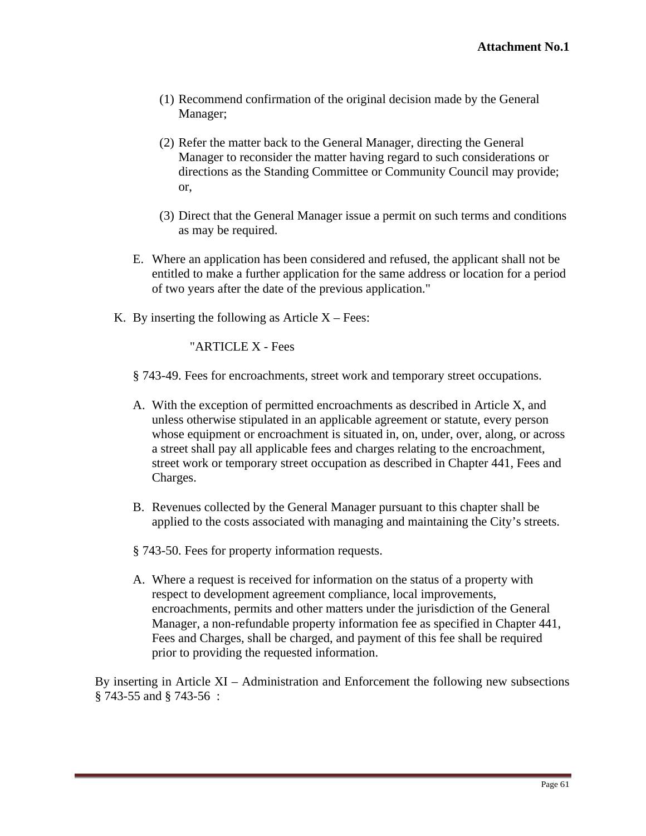- (1) Recommend confirmation of the original decision made by the General Manager;
- (2) Refer the matter back to the General Manager, directing the General Manager to reconsider the matter having regard to such considerations or directions as the Standing Committee or Community Council may provide; or,
- (3) Direct that the General Manager issue a permit on such terms and conditions as may be required.
- E. Where an application has been considered and refused, the applicant shall not be entitled to make a further application for the same address or location for a period of two years after the date of the previous application."
- K. By inserting the following as Article  $X$  Fees:

"ARTICLE X - Fees

- § 743-49. Fees for encroachments, street work and temporary street occupations.
- A. With the exception of permitted encroachments as described in Article X, and unless otherwise stipulated in an applicable agreement or statute, every person whose equipment or encroachment is situated in, on, under, over, along, or across a street shall pay all applicable fees and charges relating to the encroachment, street work or temporary street occupation as described in Chapter 441, Fees and Charges.
- B. Revenues collected by the General Manager pursuant to this chapter shall be applied to the costs associated with managing and maintaining the City's streets.
- § 743-50. Fees for property information requests.
- A. Where a request is received for information on the status of a property with respect to development agreement compliance, local improvements, encroachments, permits and other matters under the jurisdiction of the General Manager, a non-refundable property information fee as specified in Chapter 441, Fees and Charges, shall be charged, and payment of this fee shall be required prior to providing the requested information.

By inserting in Article XI – Administration and Enforcement the following new subsections  $\S$  743-55 and  $\S$  743-56 :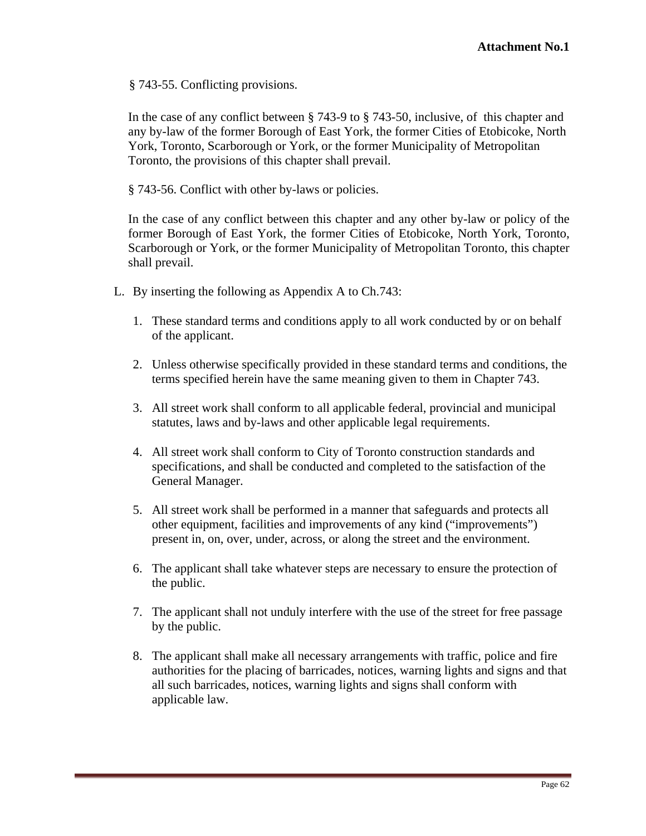§ 743-55. Conflicting provisions.

In the case of any conflict between § 743-9 to § 743-50, inclusive, of this chapter and any by-law of the former Borough of East York, the former Cities of Etobicoke, North York, Toronto, Scarborough or York, or the former Municipality of Metropolitan Toronto, the provisions of this chapter shall prevail.

§ 743-56. Conflict with other by-laws or policies.

In the case of any conflict between this chapter and any other by-law or policy of the former Borough of East York, the former Cities of Etobicoke, North York, Toronto, Scarborough or York, or the former Municipality of Metropolitan Toronto, this chapter shall prevail.

- L. By inserting the following as Appendix A to Ch.743:
	- 1. These standard terms and conditions apply to all work conducted by or on behalf of the applicant.
	- 2. Unless otherwise specifically provided in these standard terms and conditions, the terms specified herein have the same meaning given to them in Chapter 743.
	- 3. All street work shall conform to all applicable federal, provincial and municipal statutes, laws and by-laws and other applicable legal requirements.
	- 4. All street work shall conform to City of Toronto construction standards and specifications, and shall be conducted and completed to the satisfaction of the General Manager.
	- 5. All street work shall be performed in a manner that safeguards and protects all other equipment, facilities and improvements of any kind ("improvements") present in, on, over, under, across, or along the street and the environment.
	- 6. The applicant shall take whatever steps are necessary to ensure the protection of the public.
	- 7. The applicant shall not unduly interfere with the use of the street for free passage by the public.
	- 8. The applicant shall make all necessary arrangements with traffic, police and fire authorities for the placing of barricades, notices, warning lights and signs and that all such barricades, notices, warning lights and signs shall conform with applicable law.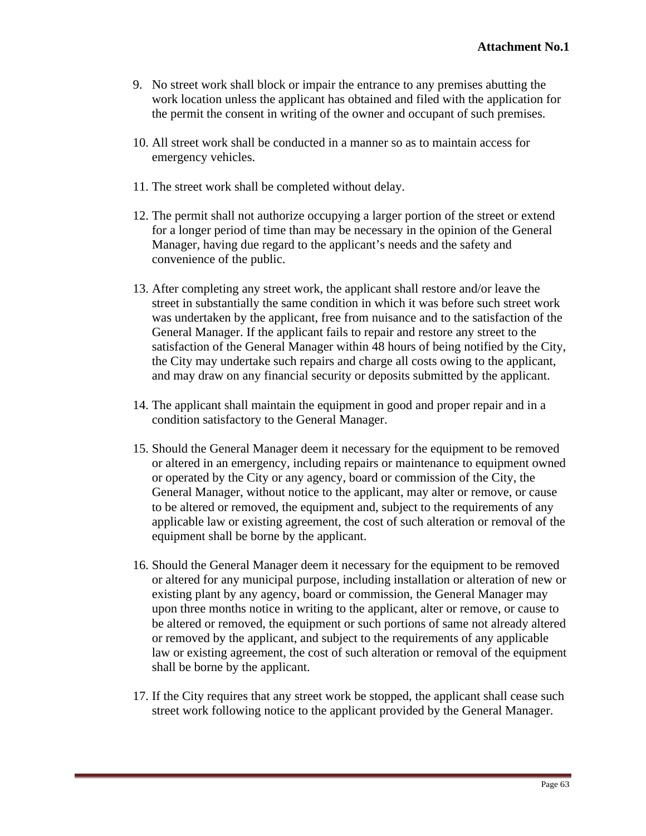- 9. No street work shall block or impair the entrance to any premises abutting the work location unless the applicant has obtained and filed with the application for the permit the consent in writing of the owner and occupant of such premises.
- 10. All street work shall be conducted in a manner so as to maintain access for emergency vehicles.
- 11. The street work shall be completed without delay.
- 12. The permit shall not authorize occupying a larger portion of the street or extend for a longer period of time than may be necessary in the opinion of the General Manager, having due regard to the applicant's needs and the safety and convenience of the public.
- 13. After completing any street work, the applicant shall restore and/or leave the street in substantially the same condition in which it was before such street work was undertaken by the applicant, free from nuisance and to the satisfaction of the General Manager. If the applicant fails to repair and restore any street to the satisfaction of the General Manager within 48 hours of being notified by the City, the City may undertake such repairs and charge all costs owing to the applicant, and may draw on any financial security or deposits submitted by the applicant.
- 14. The applicant shall maintain the equipment in good and proper repair and in a condition satisfactory to the General Manager.
- 15. Should the General Manager deem it necessary for the equipment to be removed or altered in an emergency, including repairs or maintenance to equipment owned or operated by the City or any agency, board or commission of the City, the General Manager, without notice to the applicant, may alter or remove, or cause to be altered or removed, the equipment and, subject to the requirements of any applicable law or existing agreement, the cost of such alteration or removal of the equipment shall be borne by the applicant.
- 16. Should the General Manager deem it necessary for the equipment to be removed or altered for any municipal purpose, including installation or alteration of new or existing plant by any agency, board or commission, the General Manager may upon three months notice in writing to the applicant, alter or remove, or cause to be altered or removed, the equipment or such portions of same not already altered or removed by the applicant, and subject to the requirements of any applicable law or existing agreement, the cost of such alteration or removal of the equipment shall be borne by the applicant.
- 17. If the City requires that any street work be stopped, the applicant shall cease such street work following notice to the applicant provided by the General Manager.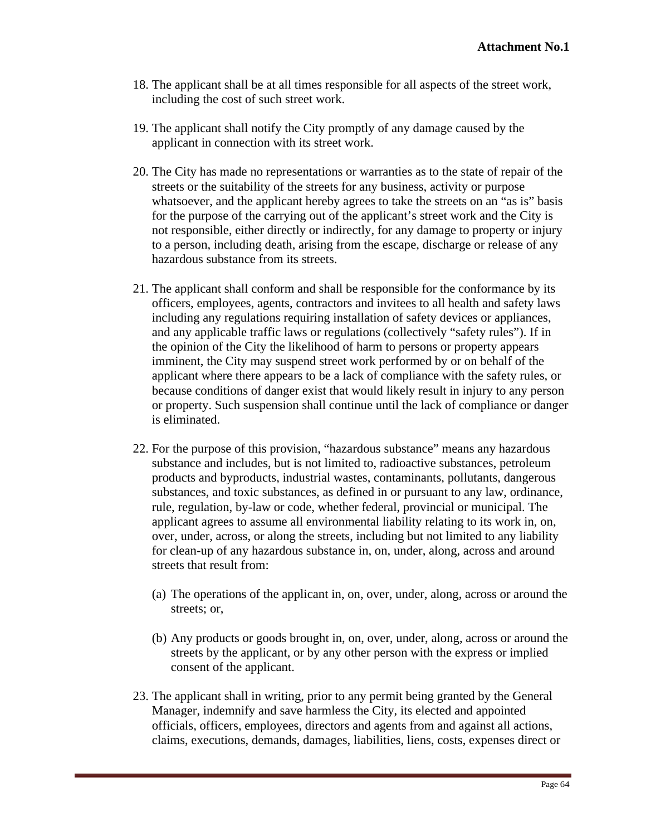- 18. The applicant shall be at all times responsible for all aspects of the street work, including the cost of such street work.
- 19. The applicant shall notify the City promptly of any damage caused by the applicant in connection with its street work.
- 20. The City has made no representations or warranties as to the state of repair of the streets or the suitability of the streets for any business, activity or purpose whatsoever, and the applicant hereby agrees to take the streets on an "as is" basis for the purpose of the carrying out of the applicant's street work and the City is not responsible, either directly or indirectly, for any damage to property or injury to a person, including death, arising from the escape, discharge or release of any hazardous substance from its streets.
- 21. The applicant shall conform and shall be responsible for the conformance by its officers, employees, agents, contractors and invitees to all health and safety laws including any regulations requiring installation of safety devices or appliances, and any applicable traffic laws or regulations (collectively "safety rules"). If in the opinion of the City the likelihood of harm to persons or property appears imminent, the City may suspend street work performed by or on behalf of the applicant where there appears to be a lack of compliance with the safety rules, or because conditions of danger exist that would likely result in injury to any person or property. Such suspension shall continue until the lack of compliance or danger is eliminated.
- 22. For the purpose of this provision, "hazardous substance" means any hazardous substance and includes, but is not limited to, radioactive substances, petroleum products and byproducts, industrial wastes, contaminants, pollutants, dangerous substances, and toxic substances, as defined in or pursuant to any law, ordinance, rule, regulation, by-law or code, whether federal, provincial or municipal. The applicant agrees to assume all environmental liability relating to its work in, on, over, under, across, or along the streets, including but not limited to any liability for clean-up of any hazardous substance in, on, under, along, across and around streets that result from:
	- (a) The operations of the applicant in, on, over, under, along, across or around the streets; or,
	- (b) Any products or goods brought in, on, over, under, along, across or around the streets by the applicant, or by any other person with the express or implied consent of the applicant.
- 23. The applicant shall in writing, prior to any permit being granted by the General Manager, indemnify and save harmless the City, its elected and appointed officials, officers, employees, directors and agents from and against all actions, claims, executions, demands, damages, liabilities, liens, costs, expenses direct or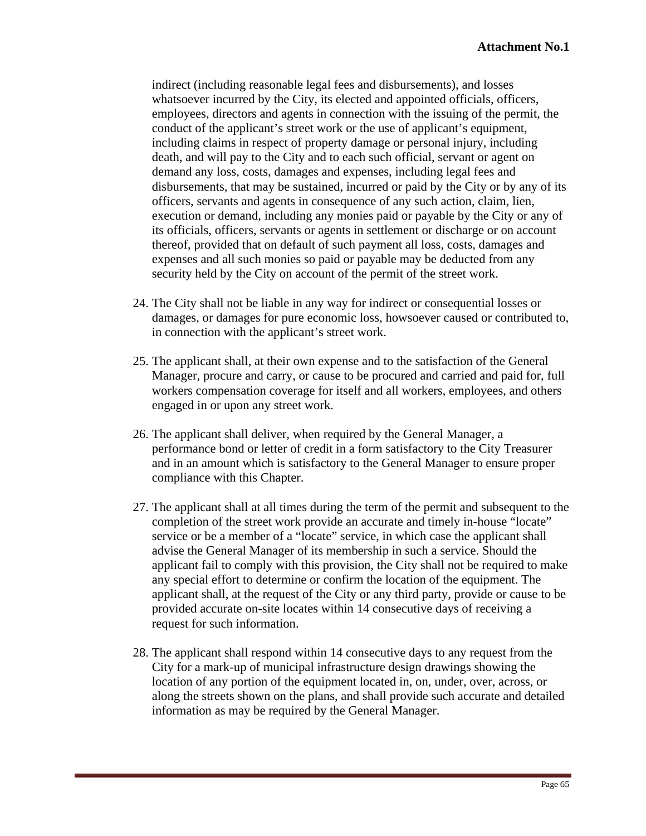indirect (including reasonable legal fees and disbursements), and losses whatsoever incurred by the City, its elected and appointed officials, officers, employees, directors and agents in connection with the issuing of the permit, the conduct of the applicant's street work or the use of applicant's equipment, including claims in respect of property damage or personal injury, including death, and will pay to the City and to each such official, servant or agent on demand any loss, costs, damages and expenses, including legal fees and disbursements, that may be sustained, incurred or paid by the City or by any of its officers, servants and agents in consequence of any such action, claim, lien, execution or demand, including any monies paid or payable by the City or any of its officials, officers, servants or agents in settlement or discharge or on account thereof, provided that on default of such payment all loss, costs, damages and expenses and all such monies so paid or payable may be deducted from any security held by the City on account of the permit of the street work.

- 24. The City shall not be liable in any way for indirect or consequential losses or damages, or damages for pure economic loss, howsoever caused or contributed to, in connection with the applicant's street work.
- 25. The applicant shall, at their own expense and to the satisfaction of the General Manager, procure and carry, or cause to be procured and carried and paid for, full workers compensation coverage for itself and all workers, employees, and others engaged in or upon any street work.
- 26. The applicant shall deliver, when required by the General Manager, a performance bond or letter of credit in a form satisfactory to the City Treasurer and in an amount which is satisfactory to the General Manager to ensure proper compliance with this Chapter.
- 27. The applicant shall at all times during the term of the permit and subsequent to the completion of the street work provide an accurate and timely in-house "locate" service or be a member of a "locate" service, in which case the applicant shall advise the General Manager of its membership in such a service. Should the applicant fail to comply with this provision, the City shall not be required to make any special effort to determine or confirm the location of the equipment. The applicant shall, at the request of the City or any third party, provide or cause to be provided accurate on-site locates within 14 consecutive days of receiving a request for such information.
- 28. The applicant shall respond within 14 consecutive days to any request from the City for a mark-up of municipal infrastructure design drawings showing the location of any portion of the equipment located in, on, under, over, across, or along the streets shown on the plans, and shall provide such accurate and detailed information as may be required by the General Manager.